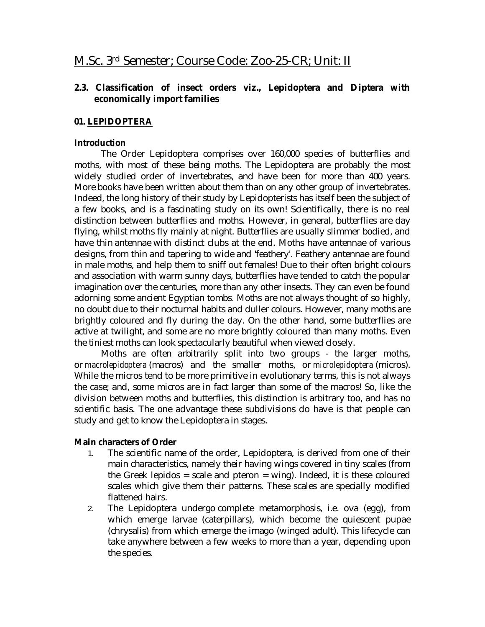# **2.3. Classification of insect orders viz., Lepidoptera and Diptera with economically import families**

# **01. LEPIDOPTERA**

# **Introduction**

The Order Lepidoptera comprises over 160,000 species of butterflies and moths, with most of these being moths. The Lepidoptera are probably the most widely studied order of invertebrates, and have been for more than 400 years. More books have been written about them than on any other group of invertebrates. Indeed, the long history of their study by Lepidopterists has itself been the subject of a few books, and is a fascinating study on its own! Scientifically, there is no real distinction between butterflies and moths. However, in general, butterflies are day flying, whilst moths fly mainly at night. Butterflies are usually slimmer bodied, and have thin antennae with distinct clubs at the end. Moths have antennae of various designs, from thin and tapering to wide and 'feathery'. Feathery antennae are found in male moths, and help them to sniff out females! Due to their often bright colours and association with warm sunny days, butterflies have tended to catch the popular imagination over the centuries, more than any other insects. They can even be found adorning some ancient Egyptian tombs. Moths are not always thought of so highly, no doubt due to their nocturnal habits and duller colours. However, many moths are brightly coloured and fly during the day. On the other hand, some butterflies are active at twilight, and some are no more brightly coloured than many moths. Even the tiniest moths can look spectacularly beautiful when viewed closely.

Moths are often arbitrarily split into two groups - the larger moths, or *macrolepidoptera* (macros) and the smaller moths, or *microlepidoptera* (micros). While the micros tend to be more primitive in evolutionary terms, this is not always the case; and, some micros are in fact larger than some of the macros! So, like the division between moths and butterflies, this distinction is arbitrary too, and has no scientific basis. The one advantage these subdivisions do have is that people can study and get to know the Lepidoptera in stages.

# **Main characters of Order**

- 1. The scientific name of the order, Lepidoptera, is derived from one of their main characteristics, namely their having wings covered in tiny scales (from the Greek lepidos = scale and pteron = wing). Indeed, it is these coloured scales which give them their patterns. These scales are specially modified flattened hairs.
- 2. The Lepidoptera undergo complete metamorphosis, i.e. ova (egg), from which emerge larvae (caterpillars), which become the quiescent pupae (chrysalis) from which emerge the imago (winged adult). This lifecycle can take anywhere between a few weeks to more than a year, depending upon the species.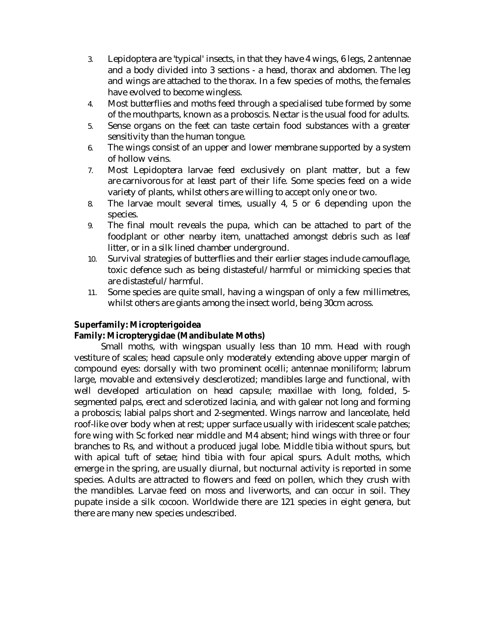- 3. Lepidoptera are 'typical' insects, in that they have 4 wings, 6 legs, 2 antennae and a body divided into 3 sections - a head, thorax and abdomen. The leg and wings are attached to the thorax. In a few species of moths, the females have evolved to become wingless.
- 4. Most butterflies and moths feed through a specialised tube formed by some of the mouthparts, known as a proboscis. Nectar is the usual food for adults.
- 5. Sense organs on the feet can taste certain food substances with a greater sensitivity than the human tongue.
- 6. The wings consist of an upper and lower membrane supported by a system of hollow veins.
- 7. Most Lepidoptera larvae feed exclusively on plant matter, but a few are carnivorous for at least part of their life. Some species feed on a wide variety of plants, whilst others are willing to accept only one or two.
- 8. The larvae moult several times, usually 4, 5 or 6 depending upon the species.
- 9. The final moult reveals the pupa, which can be attached to part of the foodplant or other nearby item, unattached amongst debris such as leaf litter, or in a silk lined chamber underground.
- 10. Survival strategies of butterflies and their earlier stages include camouflage, toxic defence such as being distasteful/harmful or mimicking species that are distasteful/harmful.
- 11. Some species are quite small, having a wingspan of only a few millimetres, whilst others are giants among the insect world, being 30cm across.

# **Superfamily: Micropterigoidea**

# **Family: Micropterygidae (Mandibulate Moths)**

Small moths, with wingspan usually less than 10 mm. Head with rough vestiture of scales; head capsule only moderately extending above upper margin of compound eyes: dorsally with two prominent ocelli; antennae moniliform; labrum large, movable and extensively desclerotized; mandibles large and functional, with well developed articulation on head capsule; maxillae with long, folded, 5 segmented palps, erect and sclerotized lacinia, and with galear not long and forming a proboscis; labial palps short and 2-segmented. Wings narrow and lanceolate, held roof-like over body when at rest; upper surface usually with iridescent scale patches; fore wing with Sc forked near middle and M4 absent; hind wings with three or four branches to Rs, and without a produced jugal lobe. Middle tibia without spurs, but with apical tuft of setae; hind tibia with four apical spurs. Adult moths, which emerge in the spring, are usually diurnal, but nocturnal activity is reported in some species. Adults are attracted to flowers and feed on pollen, which they crush with the mandibles. Larvae feed on moss and liverworts, and can occur in soil. They pupate inside a silk cocoon. Worldwide there are 121 species in eight genera, but there are many new species undescribed.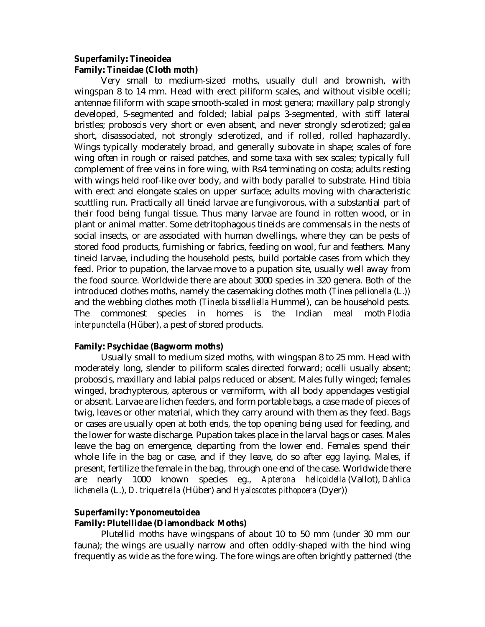# **Superfamily: Tineoidea Family: Tineidae (Cloth moth)**

Very small to medium-sized moths, usually dull and brownish, with wingspan 8 to 14 mm. Head with erect piliform scales, and without visible ocelli; antennae filiform with scape smooth-scaled in most genera; maxillary palp strongly developed, 5-segmented and folded; labial palps 3-segmented, with stiff lateral bristles; proboscis very short or even absent, and never strongly sclerotized; galea short, disassociated, not strongly sclerotized, and if rolled, rolled haphazardly. Wings typically moderately broad, and generally subovate in shape; scales of fore wing often in rough or raised patches, and some taxa with sex scales; typically full complement of free veins in fore wing, with Rs4 terminating on costa; adults resting with wings held roof-like over body, and with body parallel to substrate. Hind tibia with erect and elongate scales on upper surface; adults moving with characteristic scuttling run. Practically all tineid larvae are fungivorous, with a substantial part of their food being fungal tissue. Thus many larvae are found in rotten wood, or in plant or animal matter. Some detritophagous tineids are commensals in the nests of social insects, or are associated with human dwellings, where they can be pests of stored food products, furnishing or fabrics, feeding on wool, fur and feathers. Many tineid larvae, including the household pests, build portable cases from which they feed. Prior to pupation, the larvae move to a pupation site, usually well away from the food source. Worldwide there are about 3000 species in 320 genera. Both of the introduced clothes moths, namely the casemaking clothes moth (*Tinea pellionella* (L.)) and the webbing clothes moth (*Tineola bisselliella* Hummel), can be household pests. The commonest species in homes is the Indian meal moth *Plodia interpunctella* (Hüber), a pest of stored products.

# **Family: Psychidae (Bagworm moths)**

Usually small to medium sized moths, with wingspan 8 to 25 mm. Head with moderately long, slender to piliform scales directed forward; ocelli usually absent; proboscis, maxillary and labial palps reduced or absent. Males fully winged; females winged, brachypterous, apterous or vermiform, with all body appendages vestigial or absent. Larvae are lichen feeders, and form portable bags, a case made of pieces of twig, leaves or other material, which they carry around with them as they feed. Bags or cases are usually open at both ends, the top opening being used for feeding, and the lower for waste discharge. Pupation takes place in the larval bags or cases. Males leave the bag on emergence, departing from the lower end. Females spend their whole life in the bag or case, and if they leave, do so after egg laying. Males, if present, fertilize the female in the bag, through one end of the case. Worldwide there are nearly 1000 known species eg., *Apterona helicoidella* (Vallot), *Dahlica lichenella* (L.), *D. triquetrella* (Hüber) and *Hyaloscotes pithopoera* (Dyer))

#### **Superfamily: Yponomeutoidea Family: Plutellidae (Diamondback Moths)**

Plutellid moths have wingspans of about 10 to 50 mm (under 30 mm our fauna); the wings are usually narrow and often oddly-shaped with the hind wing frequently as wide as the fore wing. The fore wings are often brightly patterned (the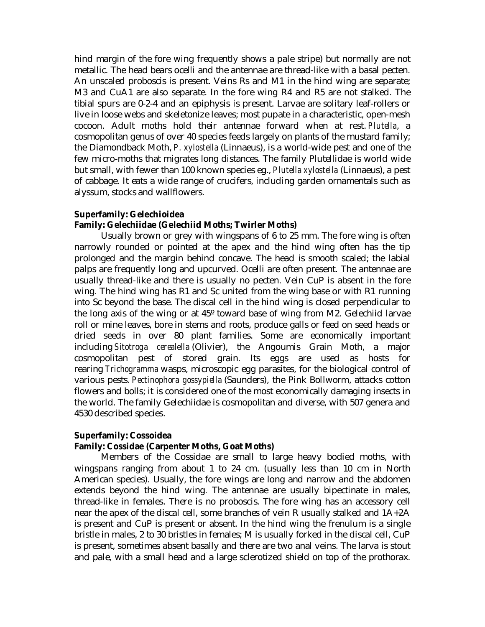hind margin of the fore wing frequently shows a pale stripe) but normally are not metallic. The head bears ocelli and the antennae are thread-like with a basal pecten. An unscaled proboscis is present. Veins Rs and M1 in the hind wing are separate; M3 and CuA1 are also separate. In the fore wing R4 and R5 are not stalked. The tibial spurs are 0-2-4 and an epiphysis is present. Larvae are solitary leaf-rollers or live in loose webs and skeletonize leaves; most pupate in a characteristic, open-mesh cocoon. Adult moths hold their antennae forward when at rest. *Plutella*, a cosmopolitan genus of over 40 species feeds largely on plants of the mustard family; the Diamondback Moth, *P. xylostella* (Linnaeus), is a world-wide pest and one of the few micro-moths that migrates long distances. The family Plutellidae is world wide but small, with fewer than 100 known species eg., *Plutella xylostella* (Linnaeus), a pest of cabbage. It eats a wide range of crucifers, including garden ornamentals such as alyssum, stocks and wallflowers.

# **Superfamily: Gelechioidea**

# **Family: Gelechiidae (Gelechiid Moths; Twirler Moths)**

Usually brown or grey with wingspans of 6 to 25 mm. The fore wing is often narrowly rounded or pointed at the apex and the hind wing often has the tip prolonged and the margin behind concave. The head is smooth scaled; the labial palps are frequently long and upcurved. Ocelli are often present. The antennae are usually thread-like and there is usually no pecten. Vein CuP is absent in the fore wing. The hind wing has R1 and Sc united from the wing base or with R1 running into Sc beyond the base. The discal cell in the hind wing is closed perpendicular to the long axis of the wing or at 45º toward base of wing from M2. Gelechiid larvae roll or mine leaves, bore in stems and roots, produce galls or feed on seed heads or dried seeds in over 80 plant families. Some are economically important including *Sitotroga cerealella* (Olivier), the Angoumis Grain Moth, a major cosmopolitan pest of stored grain. Its eggs are used as hosts for rearing *Trichogramma* wasps, microscopic egg parasites, for the biological control of various pests. *Pectinophora gossypiella* (Saunders), the Pink Bollworm, attacks cotton flowers and bolls; it is considered one of the most economically damaging insects in the world. The family Gelechiidae is cosmopolitan and diverse, with 507 genera and 4530 described species.

# **Superfamily: Cossoidea**

#### **Family: Cossidae (Carpenter Moths, Goat Moths)**

Members of the Cossidae are small to large heavy bodied moths, with wingspans ranging from about 1 to 24 cm. (usually less than 10 cm in North American species). Usually, the fore wings are long and narrow and the abdomen extends beyond the hind wing. The antennae are usually bipectinate in males, thread-like in females. There is no proboscis. The fore wing has an accessory cell near the apex of the discal cell, some branches of vein R usually stalked and 1A+2A is present and CuP is present or absent. In the hind wing the frenulum is a single bristle in males, 2 to 30 bristles in females; M is usually forked in the discal cell, CuP is present, sometimes absent basally and there are two anal veins. The larva is stout and pale, with a small head and a large sclerotized shield on top of the prothorax.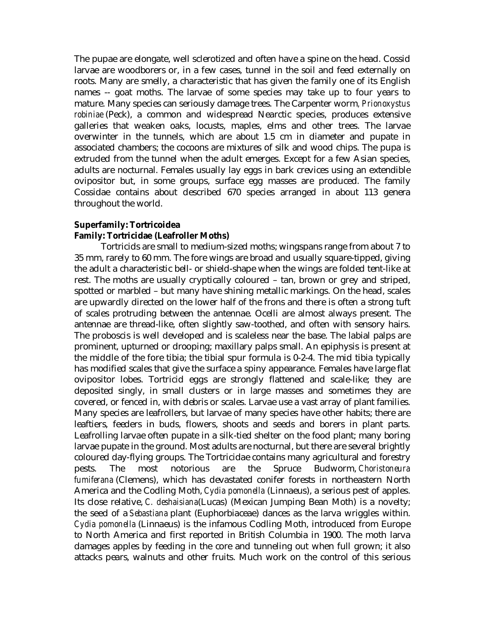The pupae are elongate, well sclerotized and often have a spine on the head. Cossid larvae are woodborers or, in a few cases, tunnel in the soil and feed externally on roots. Many are smelly, a characteristic that has given the family one of its English names -- goat moths. The larvae of some species may take up to four years to mature. Many species can seriously damage trees. The Carpenter worm*, Prionoxystus robiniae* (Peck), a common and widespread Nearctic species, produces extensive galleries that weaken oaks, locusts, maples, elms and other trees. The larvae overwinter in the tunnels, which are about 1.5 cm in diameter and pupate in associated chambers; the cocoons are mixtures of silk and wood chips. The pupa is extruded from the tunnel when the adult emerges. Except for a few Asian species, adults are nocturnal. Females usually lay eggs in bark crevices using an extendible ovipositor but, in some groups, surface egg masses are produced. The family Cossidae contains about described 670 species arranged in about 113 genera throughout the world.

# **Superfamily: Tortricoidea Family: Tortricidae (Leafroller Moths)**

Tortricids are small to medium-sized moths; wingspans range from about 7 to 35 mm, rarely to 60 mm. The fore wings are broad and usually square-tipped, giving the adult a characteristic bell- or shield-shape when the wings are folded tent-like at rest. The moths are usually cryptically coloured – tan, brown or grey and striped, spotted or marbled – but many have shining metallic markings. On the head, scales are upwardly directed on the lower half of the frons and there is often a strong tuft of scales protruding between the antennae. Ocelli are almost always present. The antennae are thread-like, often slightly saw-toothed, and often with sensory hairs. The proboscis is well developed and is scaleless near the base. The labial palps are prominent, upturned or drooping; maxillary palps small. An epiphysis is present at the middle of the fore tibia; the tibial spur formula is 0-2-4. The mid tibia typically has modified scales that give the surface a spiny appearance. Females have large flat ovipositor lobes. Tortricid eggs are strongly flattened and scale-like; they are deposited singly, in small clusters or in large masses and sometimes they are covered, or fenced in, with debris or scales. Larvae use a vast array of plant families. Many species are leafrollers, but larvae of many species have other habits; there are leaftiers, feeders in buds, flowers, shoots and seeds and borers in plant parts. Leafrolling larvae often pupate in a silk-tied shelter on the food plant; many boring larvae pupate in the ground. Most adults are nocturnal, but there are several brightly coloured day-flying groups. The Tortricidae contains many agricultural and forestry pests. The most notorious are the Spruce Budworm, *Choristoneura fumiferana* (Clemens), which has devastated conifer forests in northeastern North America and the Codling Moth, *Cydia pomonella* (Linnaeus), a serious pest of apples. Its close relative, *C. deshaisiana*(Lucas) (Mexican Jumping Bean Moth) is a novelty; the seed of a *Sebastiana* plant (Euphorbiaceae) dances as the larva wriggles within. *Cydia pomonella* (Linnaeus) is the infamous Codling Moth, introduced from Europe to North America and first reported in British Columbia in 1900. The moth larva damages apples by feeding in the core and tunneling out when full grown; it also attacks pears, walnuts and other fruits. Much work on the control of this serious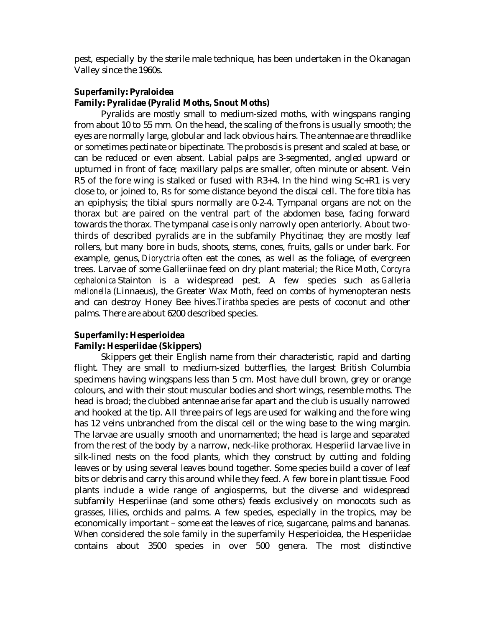pest, especially by the sterile male technique, has been undertaken in the Okanagan Valley since the 1960s.

# **Superfamily: Pyraloidea Family: Pyralidae (Pyralid Moths, Snout Moths)**

Pyralids are mostly small to medium-sized moths, with wingspans ranging from about 10 to 55 mm. On the head, the scaling of the frons is usually smooth; the eyes are normally large, globular and lack obvious hairs. The antennae are threadlike or sometimes pectinate or bipectinate. The proboscis is present and scaled at base, or can be reduced or even absent. Labial palps are 3-segmented, angled upward or upturned in front of face; maxillary palps are smaller, often minute or absent. Vein R5 of the fore wing is stalked or fused with  $R3+4$ . In the hind wing  $Sc+R1$  is very close to, or joined to, Rs for some distance beyond the discal cell. The fore tibia has an epiphysis; the tibial spurs normally are 0-2-4. Tympanal organs are not on the thorax but are paired on the ventral part of the abdomen base, facing forward towards the thorax. The tympanal case is only narrowly open anteriorly. About twothirds of described pyralids are in the subfamily Phycitinae; they are mostly leaf rollers, but many bore in buds, shoots, stems, cones, fruits, galls or under bark. For example, genus, *Dioryctria* often eat the cones, as well as the foliage, of evergreen trees. Larvae of some Galleriinae feed on dry plant material; the Rice Moth, *Corcyra cephalonica* Stainton is a widespread pest. A few species such as *Galleria mellonella* (Linnaeus), the Greater Wax Moth, feed on combs of hymenopteran nests and can destroy Honey Bee hives.*Tirathba* species are pests of coconut and other palms. There are about 6200 described species.

# **Superfamily: Hesperioidea Family: Hesperiidae (Skippers)**

Skippers get their English name from their characteristic, rapid and darting flight. They are small to medium-sized butterflies, the largest British Columbia specimens having wingspans less than 5 cm. Most have dull brown, grey or orange colours, and with their stout muscular bodies and short wings, resemble moths. The head is broad; the clubbed antennae arise far apart and the club is usually narrowed and hooked at the tip. All three pairs of legs are used for walking and the fore wing has 12 veins unbranched from the discal cell or the wing base to the wing margin. The larvae are usually smooth and unornamented; the head is large and separated from the rest of the body by a narrow, neck-like prothorax. Hesperiid larvae live in silk-lined nests on the food plants, which they construct by cutting and folding leaves or by using several leaves bound together. Some species build a cover of leaf bits or debris and carry this around while they feed. A few bore in plant tissue. Food plants include a wide range of angiosperms, but the diverse and widespread subfamily Hesperiinae (and some others) feeds exclusively on monocots such as grasses, lilies, orchids and palms. A few species, especially in the tropics, may be economically important – some eat the leaves of rice, sugarcane, palms and bananas. When considered the sole family in the superfamily Hesperioidea, the Hesperiidae contains about 3500 species in over 500 genera. The most distinctive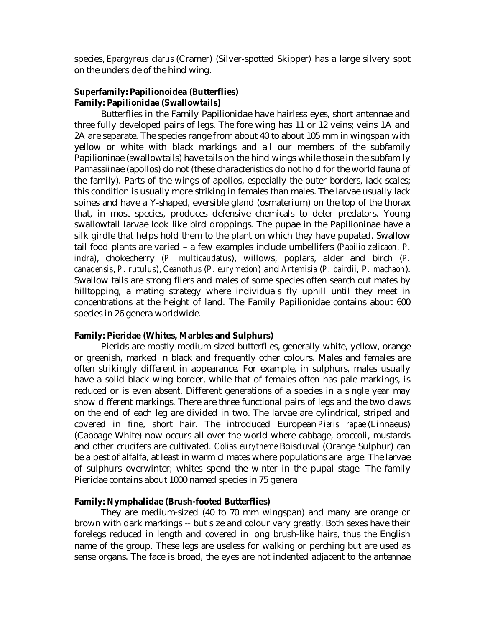species, *Epargyreus clarus* (Cramer) (Silver-spotted Skipper) has a large silvery spot on the underside of the hind wing.

# **Superfamily: Papilionoidea (Butterflies) Family: Papilionidae (Swallowtails)**

Butterflies in the Family Papilionidae have hairless eyes, short antennae and three fully developed pairs of legs. The fore wing has 11 or 12 veins; veins 1A and 2A are separate. The species range from about 40 to about 105 mm in wingspan with yellow or white with black markings and all our members of the subfamily Papilioninae (swallowtails) have tails on the hind wings while those in the subfamily Parnassiinae (apollos) do not (these characteristics do not hold for the world fauna of the family). Parts of the wings of apollos, especially the outer borders, lack scales; this condition is usually more striking in females than males. The larvae usually lack spines and have a Y-shaped, eversible gland (osmaterium) on the top of the thorax that, in most species, produces defensive chemicals to deter predators. Young swallowtail larvae look like bird droppings. The pupae in the Papilioninae have a silk girdle that helps hold them to the plant on which they have pupated. Swallow tail food plants are varied – a few examples include umbellifers (*Papilio zelicaon, P. indra*), chokecherry (*P. multicaudatus*), willows, poplars, alder and birch (*P. canadensis*, *P. rutulus*), *Ceanothus* (*P. eurymedon*) and *Artemisia* (*P. bairdii, P. machaon*). Swallow tails are strong fliers and males of some species often search out mates by hilltopping, a mating strategy where individuals fly uphill until they meet in concentrations at the height of land. The Family Papilionidae contains about 600 species in 26 genera worldwide.

# **Family: Pieridae (Whites, Marbles and Sulphurs)**

Pierids are mostly medium-sized butterflies, generally white, yellow, orange or greenish, marked in black and frequently other colours. Males and females are often strikingly different in appearance. For example, in sulphurs, males usually have a solid black wing border, while that of females often has pale markings, is reduced or is even absent. Different generations of a species in a single year may show different markings. There are three functional pairs of legs and the two claws on the end of each leg are divided in two. The larvae are cylindrical, striped and covered in fine, short hair. The introduced European *Pieris rapae* (Linnaeus) (Cabbage White) now occurs all over the world where cabbage, broccoli, mustards and other crucifers are cultivated*. Colias eurytheme* Boisduval (Orange Sulphur) can be a pest of alfalfa, at least in warm climates where populations are large. The larvae of sulphurs overwinter; whites spend the winter in the pupal stage. The family Pieridae contains about 1000 named species in 75 genera

# **Family: Nymphalidae (Brush-footed Butterflies)**

They are medium-sized (40 to 70 mm wingspan) and many are orange or brown with dark markings -- but size and colour vary greatly. Both sexes have their forelegs reduced in length and covered in long brush-like hairs, thus the English name of the group. These legs are useless for walking or perching but are used as sense organs. The face is broad, the eyes are not indented adjacent to the antennae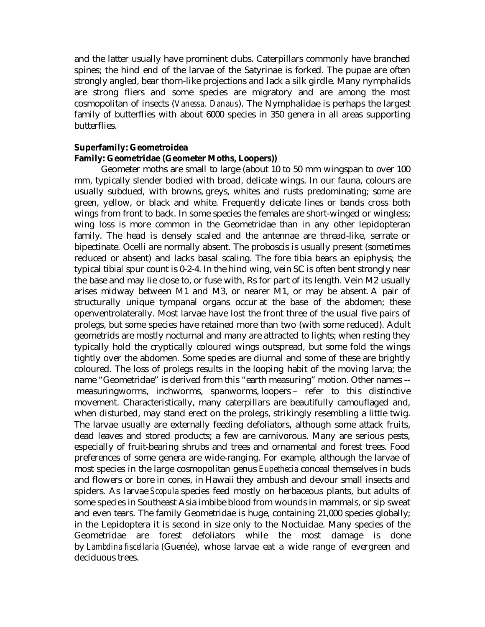and the latter usually have prominent clubs. Caterpillars commonly have branched spines; the hind end of the larvae of the Satyrinae is forked. The pupae are often strongly angled, bear thorn-like projections and lack a silk girdle. Many nymphalids are strong fliers and some species are migratory and are among the most cosmopolitan of insects (*Vanessa, Danaus*). The Nymphalidae is perhaps the largest family of butterflies with about 6000 species in 350 genera in all areas supporting butterflies.

# **Superfamily: Geometroidea Family: Geometridae (Geometer Moths, Loopers))**

Geometer moths are small to large (about 10 to 50 mm wingspan to over 100 mm, typically slender bodied with broad, delicate wings. In our fauna, colours are usually subdued, with browns, greys, whites and rusts predominating; some are green, yellow, or black and white. Frequently delicate lines or bands cross both wings from front to back. In some species the females are short-winged or wingless; wing loss is more common in the Geometridae than in any other lepidopteran family. The head is densely scaled and the antennae are thread-like, serrate or bipectinate. Ocelli are normally absent. The proboscis is usually present (sometimes reduced or absent) and lacks basal scaling. The fore tibia bears an epiphysis; the typical tibial spur count is 0-2-4. In the hind wing, vein SC is often bent strongly near the base and may lie close to, or fuse with, Rs for part of its length. Vein M2 usually arises midway between M1 and M3, or nearer M1, or may be absent. A pair of structurally unique tympanal organs occur at the base of the abdomen; these openventrolaterally. Most larvae have lost the front three of the usual five pairs of prolegs, but some species have retained more than two (with some reduced). Adult geometrids are mostly nocturnal and many are attracted to lights; when resting they typically hold the cryptically coloured wings outspread, but some fold the wings tightly over the abdomen. Some species are diurnal and some of these are brightly coloured. The loss of prolegs results in the looping habit of the moving larva; the name "Geometridae" is derived from this "earth measuring" motion. Other names - measuringworms, inchworms, spanworms, loopers – refer to this distinctive movement. Characteristically, many caterpillars are beautifully camouflaged and, when disturbed, may stand erect on the prolegs, strikingly resembling a little twig. The larvae usually are externally feeding defoliators, although some attack fruits, dead leaves and stored products; a few are carnivorous. Many are serious pests, especially of fruit-bearing shrubs and trees and ornamental and forest trees. Food preferences of some genera are wide-ranging. For example, although the larvae of most species in the large cosmopolitan genus *Eupethecia* conceal themselves in buds and flowers or bore in cones, in Hawaii they ambush and devour small insects and spiders. As larvae *Scopula* species feed mostly on herbaceous plants, but adults of some species in Southeast Asia imbibe blood from wounds in mammals, or sip sweat and even tears. The family Geometridae is huge, containing 21,000 species globally; in the Lepidoptera it is second in size only to the Noctuidae. Many species of the Geometridae are forest defoliators while the most damage is done by *Lambdina fiscellaria* (Guenée), whose larvae eat a wide range of evergreen and deciduous trees.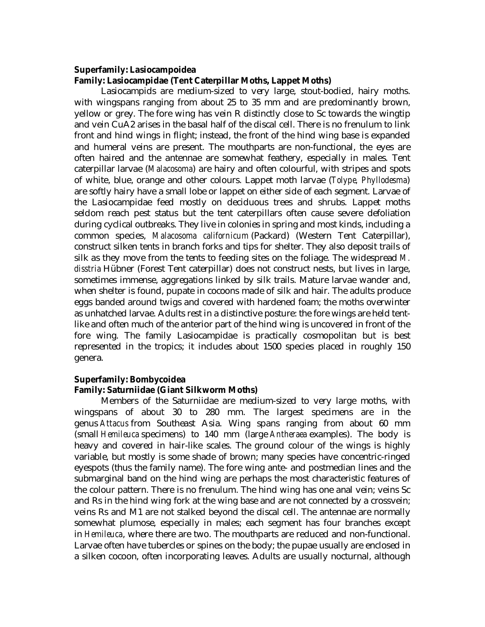# **Superfamily: Lasiocampoidea Family: Lasiocampidae (Tent Caterpillar Moths, Lappet Moths)**

Lasiocampids are medium-sized to very large, stout-bodied, hairy moths. with wingspans ranging from about 25 to 35 mm and are predominantly brown, yellow or grey. The fore wing has vein R distinctly close to Sc towards the wingtip and vein CuA2 arises in the basal half of the discal cell. There is no frenulum to link front and hind wings in flight; instead, the front of the hind wing base is expanded and humeral veins are present. The mouthparts are non-functional, the eyes are often haired and the antennae are somewhat feathery, especially in males. Tent caterpillar larvae (*Malacosoma*) are hairy and often colourful, with stripes and spots of white, blue, orange and other colours. Lappet moth larvae (*Tolype, Phyllodesma*) are softly hairy have a small lobe or lappet on either side of each segment. Larvae of the Lasiocampidae feed mostly on deciduous trees and shrubs. Lappet moths seldom reach pest status but the tent caterpillars often cause severe defoliation during cyclical outbreaks. They live in colonies in spring and most kinds, including a common species, *Malacosoma californicum* (Packard) (Western Tent Caterpillar), construct silken tents in branch forks and tips for shelter. They also deposit trails of silk as they move from the tents to feeding sites on the foliage. The widespread *M. disstria* Hübner (Forest Tent caterpillar) does not construct nests, but lives in large, sometimes immense, aggregations linked by silk trails. Mature larvae wander and, when shelter is found, pupate in cocoons made of silk and hair. The adults produce eggs banded around twigs and covered with hardened foam; the moths overwinter as unhatched larvae. Adults rest in a distinctive posture: the fore wings are held tentlike and often much of the anterior part of the hind wing is uncovered in front of the fore wing. The family Lasiocampidae is practically cosmopolitan but is best represented in the tropics; it includes about 1500 species placed in roughly 150 genera.

### **Superfamily: Bombycoidea Family: Saturniidae (Giant Silkworm Moths)**

Members of the Saturniidae are medium-sized to very large moths, with wingspans of about 30 to 280 mm. The largest specimens are in the genus *Attacus* from Southeast Asia. Wing spans ranging from about 60 mm (small *Hemileuca* specimens) to 140 mm (large *Antheraea* examples). The body is heavy and covered in hair-like scales. The ground colour of the wings is highly variable, but mostly is some shade of brown; many species have concentric-ringed eyespots (thus the family name). The fore wing ante- and postmedian lines and the submarginal band on the hind wing are perhaps the most characteristic features of the colour pattern. There is no frenulum. The hind wing has one anal vein; veins Sc and Rs in the hind wing fork at the wing base and are not connected by a crossvein; veins Rs and M1 are not stalked beyond the discal cell. The antennae are normally somewhat plumose, especially in males; each segment has four branches except in *Hemileuca*, where there are two. The mouthparts are reduced and non-functional. Larvae often have tubercles or spines on the body; the pupae usually are enclosed in a silken cocoon, often incorporating leaves. Adults are usually nocturnal, although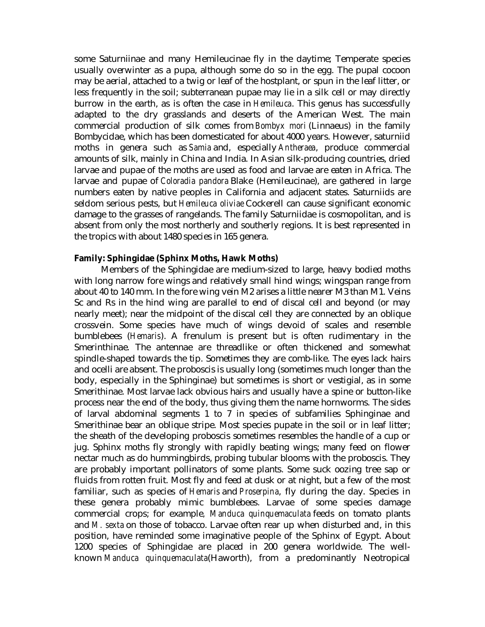some Saturniinae and many Hemileucinae fly in the daytime; Temperate species usually overwinter as a pupa, although some do so in the egg. The pupal cocoon may be aerial, attached to a twig or leaf of the hostplant, or spun in the leaf litter, or less frequently in the soil; subterranean pupae may lie in a silk cell or may directly burrow in the earth, as is often the case in *Hemileuca*. This genus has successfully adapted to the dry grasslands and deserts of the American West. The main commercial production of silk comes from *Bombyx mori* (Linnaeus) in the family Bombycidae, which has been domesticated for about 4000 years. However, saturniid moths in genera such as *Samia* and, especially *Antheraea*, produce commercial amounts of silk, mainly in China and India. In Asian silk-producing countries, dried larvae and pupae of the moths are used as food and larvae are eaten in Africa. The larvae and pupae of *Coloradia pandora* Blake (Hemileucinae), are gathered in large numbers eaten by native peoples in California and adjacent states. Saturniids are seldom serious pests, but *Hemileuca oliviae* Cockerell can cause significant economic damage to the grasses of rangelands. The family Saturniidae is cosmopolitan, and is absent from only the most northerly and southerly regions. It is best represented in the tropics with about 1480 species in 165 genera.

#### **Family: Sphingidae (Sphinx Moths, Hawk Moths)**

Members of the Sphingidae are medium-sized to large, heavy bodied moths with long narrow fore wings and relatively small hind wings; wingspan range from about 40 to 140 mm. In the fore wing vein M2 arises a little nearer M3 than M1. Veins Sc and Rs in the hind wing are parallel to end of discal cell and beyond (or may nearly meet); near the midpoint of the discal cell they are connected by an oblique crossvein. Some species have much of wings devoid of scales and resemble bumblebees (*Hemaris*). A frenulum is present but is often rudimentary in the Smerinthinae. The antennae are threadlike or often thickened and somewhat spindle-shaped towards the tip. Sometimes they are comb-like. The eyes lack hairs and ocelli are absent. The proboscis is usually long (sometimes much longer than the body, especially in the Sphinginae) but sometimes is short or vestigial, as in some Smerithinae. Most larvae lack obvious hairs and usually have a spine or button-like process near the end of the body, thus giving them the name hornworms. The sides of larval abdominal segments 1 to 7 in species of subfamilies Sphinginae and Smerithinae bear an oblique stripe. Most species pupate in the soil or in leaf litter; the sheath of the developing proboscis sometimes resembles the handle of a cup or jug. Sphinx moths fly strongly with rapidly beating wings; many feed on flower nectar much as do hummingbirds, probing tubular blooms with the proboscis. They are probably important pollinators of some plants. Some suck oozing tree sap or fluids from rotten fruit. Most fly and feed at dusk or at night, but a few of the most familiar, such as species of *Hemaris* and *Proserpina*, fly during the day. Species in these genera probably mimic bumblebees. Larvae of some species damage commercial crops; for example*, Manduca quinquemaculata* feeds on tomato plants and *M. sexta* on those of tobacco. Larvae often rear up when disturbed and, in this position, have reminded some imaginative people of the Sphinx of Egypt. About 1200 species of Sphingidae are placed in 200 genera worldwide. The wellknown *Manduca quinquemaculata*(Haworth), from a predominantly Neotropical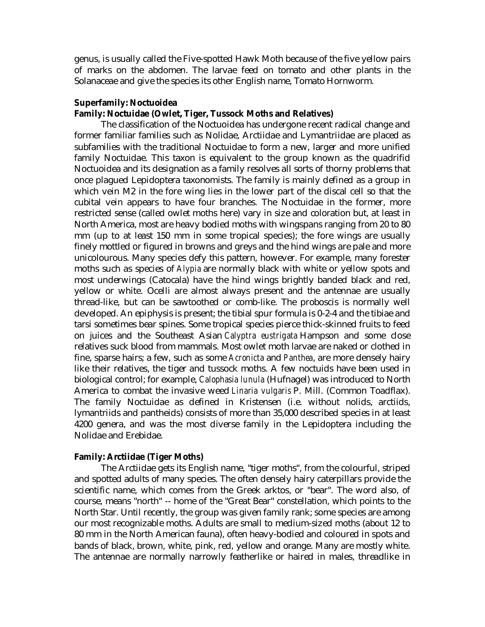genus, is usually called the Five-spotted Hawk Moth because of the five yellow pairs of marks on the abdomen. The larvae feed on tomato and other plants in the Solanaceae and give the species its other English name, Tomato Hornworm.

### **Superfamily: Noctuoidea**

# **Family: Noctuidae (Owlet, Tiger, Tussock Moths and Relatives)**

The classification of the Noctuoidea has undergone recent radical change and former familiar families such as Nolidae, Arctiidae and Lymantriidae are placed as subfamilies with the traditional Noctuidae to form a new, larger and more unified family Noctuidae. This taxon is equivalent to the group known as the quadrifid Noctuoidea and its designation as a family resolves all sorts of thorny problems that once plagued Lepidoptera taxonomists. The family is mainly defined as a group in which vein M2 in the fore wing lies in the lower part of the discal cell so that the cubital vein appears to have four branches. The Noctuidae in the former, more restricted sense (called owlet moths here) vary in size and coloration but, at least in North America, most are heavy bodied moths with wingspans ranging from 20 to 80 mm (up to at least 150 mm in some tropical species); the fore wings are usually finely mottled or figured in browns and greys and the hind wings are pale and more unicolourous. Many species defy this pattern, however. For example, many forester moths such as species of *Alypia* are normally black with white or yellow spots and most underwings (Catocala) have the hind wings brightly banded black and red, yellow or white. Ocelli are almost always present and the antennae are usually thread-like, but can be sawtoothed or comb-like. The proboscis is normally well developed. An epiphysis is present; the tibial spur formula is 0-2-4 and the tibiae and tarsi sometimes bear spines. Some tropical species pierce thick-skinned fruits to feed on juices and the Southeast Asian *Calyptra eustrigata* Hampson and some close relatives suck blood from mammals. Most owlet moth larvae are naked or clothed in fine, sparse hairs; a few, such as some *Acronicta* and *Panthea*, are more densely hairy like their relatives, the tiger and tussock moths. A few noctuids have been used in biological control; for example, *Calophasia lunula* (Hufnagel) was introduced to North America to combat the invasive weed *Linaria vulgaris* P. Mill. (Common Toadflax). The family Noctuidae as defined in Kristensen (i.e. without nolids, arctiids, lymantriids and pantheids) consists of more than 35,000 described species in at least 4200 genera, and was the most diverse family in the Lepidoptera including the Nolidae and Erebidae.

# **Family: Arctiidae (Tiger Moths)**

The Arctiidae gets its English name, "tiger moths", from the colourful, striped and spotted adults of many species. The often densely hairy caterpillars provide the scientific name, which comes from the Greek arktos, or "bear". The word also, of course, means "north" -- home of the "Great Bear" constellation, which points to the North Star. Until recently, the group was given family rank; some species are among our most recognizable moths. Adults are small to medium-sized moths (about 12 to 80 mm in the North American fauna), often heavy-bodied and coloured in spots and bands of black, brown, white, pink, red, yellow and orange. Many are mostly white. The antennae are normally narrowly featherlike or haired in males, threadlike in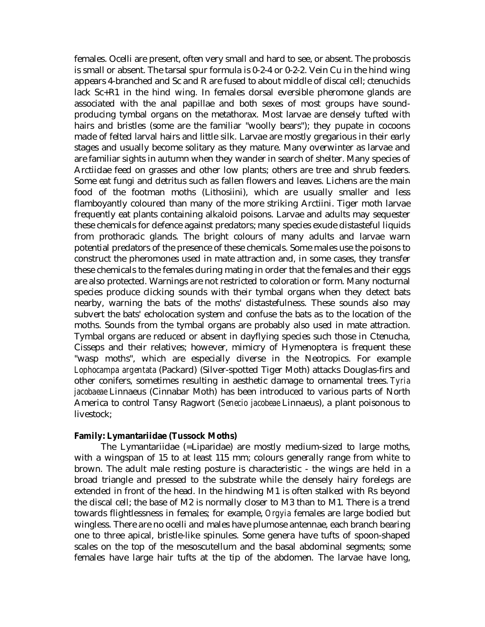females. Ocelli are present, often very small and hard to see, or absent. The proboscis is small or absent. The tarsal spur formula is 0-2-4 or 0-2-2. Vein Cu in the hind wing appears 4-branched and Sc and R are fused to about middle of discal cell; ctenuchids lack Sc+R1 in the hind wing. In females dorsal eversible pheromone glands are associated with the anal papillae and both sexes of most groups have soundproducing tymbal organs on the metathorax. Most larvae are densely tufted with hairs and bristles (some are the familiar "woolly bears"); they pupate in cocoons made of felted larval hairs and little silk. Larvae are mostly gregarious in their early stages and usually become solitary as they mature. Many overwinter as larvae and are familiar sights in autumn when they wander in search of shelter. Many species of Arctiidae feed on grasses and other low plants; others are tree and shrub feeders. Some eat fungi and detritus such as fallen flowers and leaves. Lichens are the main food of the footman moths (Lithosiini), which are usually smaller and less flamboyantly coloured than many of the more striking Arctiini. Tiger moth larvae frequently eat plants containing alkaloid poisons. Larvae and adults may sequester these chemicals for defence against predators; many species exude distasteful liquids from prothoracic glands. The bright colours of many adults and larvae warn potential predators of the presence of these chemicals. Some males use the poisons to construct the pheromones used in mate attraction and, in some cases, they transfer these chemicals to the females during mating in order that the females and their eggs are also protected. Warnings are not restricted to coloration or form. Many nocturnal species produce clicking sounds with their tymbal organs when they detect bats nearby, warning the bats of the moths' distastefulness. These sounds also may subvert the bats' echolocation system and confuse the bats as to the location of the moths. Sounds from the tymbal organs are probably also used in mate attraction. Tymbal organs are reduced or absent in dayflying species such those in Ctenucha, Cisseps and their relatives; however, mimicry of Hymenoptera is frequent these "wasp moths", which are especially diverse in the Neotropics. For example *Lophocampa argentata* (Packard) (Silver-spotted Tiger Moth) attacks Douglas-firs and other conifers, sometimes resulting in aesthetic damage to ornamental trees. *Tyria jacobaeae* Linnaeus (Cinnabar Moth) has been introduced to various parts of North America to control Tansy Ragwort (*Senecio jacobeae* Linnaeus), a plant poisonous to livestock;

# **Family: Lymantariidae (Tussock Moths)**

The Lymantariidae (=Liparidae) are mostly medium-sized to large moths, with a wingspan of 15 to at least 115 mm; colours generally range from white to brown. The adult male resting posture is characteristic - the wings are held in a broad triangle and pressed to the substrate while the densely hairy forelegs are extended in front of the head. In the hindwing M1 is often stalked with Rs beyond the discal cell; the base of M2 is normally closer to M3 than to M1. There is a trend towards flightlessness in females; for example, *Orgyia* females are large bodied but wingless. There are no ocelli and males have plumose antennae, each branch bearing one to three apical, bristle-like spinules. Some genera have tufts of spoon-shaped scales on the top of the mesoscutellum and the basal abdominal segments; some females have large hair tufts at the tip of the abdomen. The larvae have long,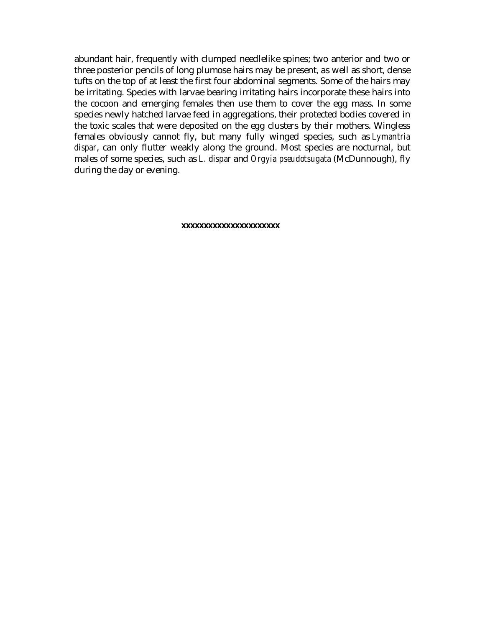abundant hair, frequently with clumped needlelike spines; two anterior and two or three posterior pencils of long plumose hairs may be present, as well as short, dense tufts on the top of at least the first four abdominal segments. Some of the hairs may be irritating. Species with larvae bearing irritating hairs incorporate these hairs into the cocoon and emerging females then use them to cover the egg mass. In some species newly hatched larvae feed in aggregations, their protected bodies covered in the toxic scales that were deposited on the egg clusters by their mothers. Wingless females obviously cannot fly, but many fully winged species, such as *Lymantria dispar*, can only flutter weakly along the ground. Most species are nocturnal, but males of some species, such as *L. dispar* and *Orgyia pseudotsugata* (McDunnough), fly during the day or evening.

#### **xxxxxxxxxxxxxxxxxxxxxx**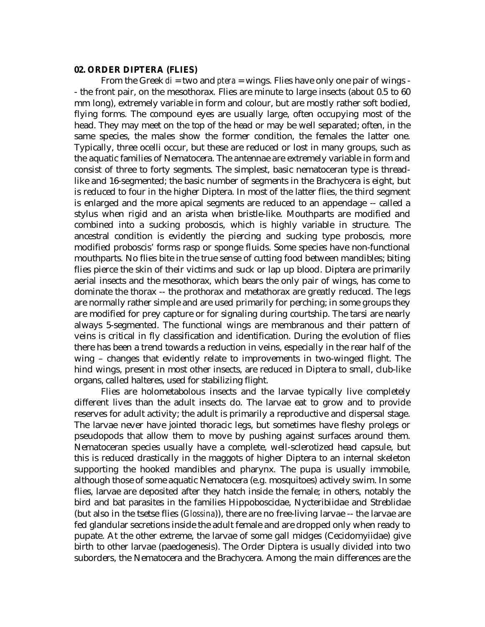## **02. ORDER DIPTERA (FLIES)**

From the Greek *di* = two and *ptera* = wings. Flies have only one pair of wings - - the front pair, on the mesothorax. Flies are minute to large insects (about 0.5 to 60 mm long), extremely variable in form and colour, but are mostly rather soft bodied, flying forms. The compound eyes are usually large, often occupying most of the head. They may meet on the top of the head or may be well separated; often, in the same species, the males show the former condition, the females the latter one. Typically, three ocelli occur, but these are reduced or lost in many groups, such as the aquatic families of Nematocera. The antennae are extremely variable in form and consist of three to forty segments. The simplest, basic nematoceran type is threadlike and 16-segmented; the basic number of segments in the Brachycera is eight, but is reduced to four in the higher Diptera. In most of the latter flies, the third segment is enlarged and the more apical segments are reduced to an appendage -- called a stylus when rigid and an arista when bristle-like. Mouthparts are modified and combined into a sucking proboscis, which is highly variable in structure. The ancestral condition is evidently the piercing and sucking type proboscis, more modified proboscis' forms rasp or sponge fluids. Some species have non-functional mouthparts. No flies bite in the true sense of cutting food between mandibles; biting flies pierce the skin of their victims and suck or lap up blood. Diptera are primarily aerial insects and the mesothorax, which bears the only pair of wings, has come to dominate the thorax -- the prothorax and metathorax are greatly reduced. The legs are normally rather simple and are used primarily for perching; in some groups they are modified for prey capture or for signaling during courtship. The tarsi are nearly always 5-segmented. The functional wings are membranous and their pattern of veins is critical in fly classification and identification. During the evolution of flies there has been a trend towards a reduction in veins, especially in the rear half of the wing – changes that evidently relate to improvements in two-winged flight. The hind wings, present in most other insects, are reduced in Diptera to small, club-like organs, called halteres, used for stabilizing flight.

Flies are holometabolous insects and the larvae typically live completely different lives than the adult insects do. The larvae eat to grow and to provide reserves for adult activity; the adult is primarily a reproductive and dispersal stage. The larvae never have jointed thoracic legs, but sometimes have fleshy prolegs or pseudopods that allow them to move by pushing against surfaces around them. Nematoceran species usually have a complete, well-sclerotized head capsule, but this is reduced drastically in the maggots of higher Diptera to an internal skeleton supporting the hooked mandibles and pharynx. The pupa is usually immobile, although those of some aquatic Nematocera (e.g. mosquitoes) actively swim. In some flies, larvae are deposited after they hatch inside the female; in others, notably the bird and bat parasites in the families Hippoboscidae, Nycteribiidae and Streblidae (but also in the tsetse flies (*Glossina*)), there are no free-living larvae -- the larvae are fed glandular secretions inside the adult female and are dropped only when ready to pupate. At the other extreme, the larvae of some gall midges (Cecidomyiidae) give birth to other larvae (paedogenesis). The Order Diptera is usually divided into two suborders, the Nematocera and the Brachycera. Among the main differences are the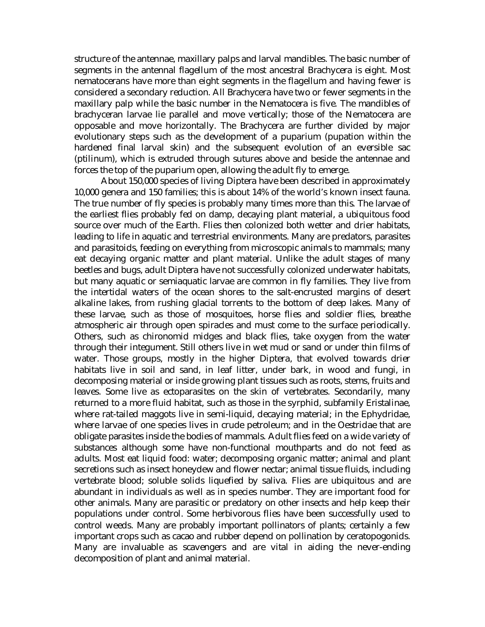structure of the antennae, maxillary palps and larval mandibles. The basic number of segments in the antennal flagellum of the most ancestral Brachycera is eight. Most nematocerans have more than eight segments in the flagellum and having fewer is considered a secondary reduction. All Brachycera have two or fewer segments in the maxillary palp while the basic number in the Nematocera is five. The mandibles of brachyceran larvae lie parallel and move vertically; those of the Nematocera are opposable and move horizontally. The Brachycera are further divided by major evolutionary steps such as the development of a puparium (pupation within the hardened final larval skin) and the subsequent evolution of an eversible sac (ptilinum), which is extruded through sutures above and beside the antennae and forces the top of the puparium open, allowing the adult fly to emerge.

About 150,000 species of living Diptera have been described in approximately 10,000 genera and 150 families; this is about 14% of the world's known insect fauna. The true number of fly species is probably many times more than this. The larvae of the earliest flies probably fed on damp, decaying plant material, a ubiquitous food source over much of the Earth. Flies then colonized both wetter and drier habitats, leading to life in aquatic and terrestrial environments. Many are predators, parasites and parasitoids, feeding on everything from microscopic animals to mammals; many eat decaying organic matter and plant material. Unlike the adult stages of many beetles and bugs, adult Diptera have not successfully colonized underwater habitats, but many aquatic or semiaquatic larvae are common in fly families. They live from the intertidal waters of the ocean shores to the salt-encrusted margins of desert alkaline lakes, from rushing glacial torrents to the bottom of deep lakes. Many of these larvae, such as those of mosquitoes, horse flies and soldier flies, breathe atmospheric air through open spiracles and must come to the surface periodically. Others, such as chironomid midges and black flies, take oxygen from the water through their integument. Still others live in wet mud or sand or under thin films of water. Those groups, mostly in the higher Diptera, that evolved towards drier habitats live in soil and sand, in leaf litter, under bark, in wood and fungi, in decomposing material or inside growing plant tissues such as roots, stems, fruits and leaves. Some live as ectoparasites on the skin of vertebrates. Secondarily, many returned to a more fluid habitat, such as those in the syrphid, subfamily Eristalinae, where rat-tailed maggots live in semi-liquid, decaying material; in the Ephydridae, where larvae of one species lives in crude petroleum; and in the Oestridae that are obligate parasites inside the bodies of mammals. Adult flies feed on a wide variety of substances although some have non-functional mouthparts and do not feed as adults. Most eat liquid food: water; decomposing organic matter; animal and plant secretions such as insect honeydew and flower nectar; animal tissue fluids, including vertebrate blood; soluble solids liquefied by saliva. Flies are ubiquitous and are abundant in individuals as well as in species number. They are important food for other animals. Many are parasitic or predatory on other insects and help keep their populations under control. Some herbivorous flies have been successfully used to control weeds. Many are probably important pollinators of plants; certainly a few important crops such as cacao and rubber depend on pollination by ceratopogonids. Many are invaluable as scavengers and are vital in aiding the never-ending decomposition of plant and animal material.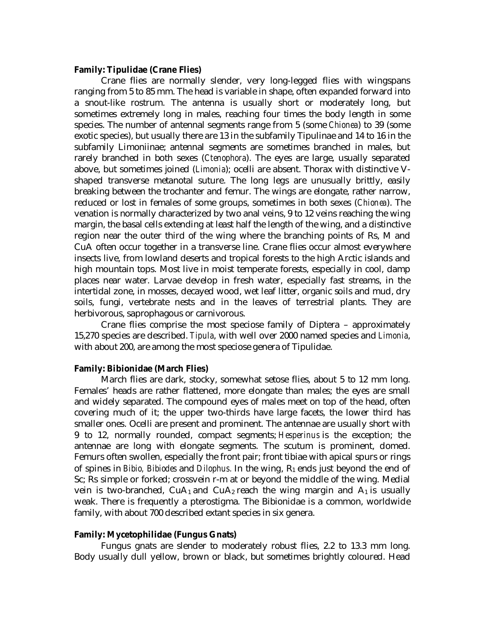### **Family: Tipulidae (Crane Flies)**

Crane flies are normally slender, very long-legged flies with wingspans ranging from 5 to 85 mm. The head is variable in shape, often expanded forward into a snout-like rostrum. The antenna is usually short or moderately long, but sometimes extremely long in males, reaching four times the body length in some species. The number of antennal segments range from 5 (some *Chionea*) to 39 (some exotic species), but usually there are 13 in the subfamily Tipulinae and 14 to 16 in the subfamily Limoniinae; antennal segments are sometimes branched in males, but rarely branched in both sexes (*Ctenophora*). The eyes are large, usually separated above, but sometimes joined (*Limonia*); ocelli are absent. Thorax with distinctive Vshaped transverse metanotal suture. The long legs are unusually brittly, easily breaking between the trochanter and femur. The wings are elongate, rather narrow, reduced or lost in females of some groups, sometimes in both sexes (*Chionea*). The venation is normally characterized by two anal veins, 9 to 12 veins reaching the wing margin, the basal cells extending at least half the length of the wing, and a distinctive region near the outer third of the wing where the branching points of Rs, M and CuA often occur together in a transverse line. Crane flies occur almost everywhere insects live, from lowland deserts and tropical forests to the high Arctic islands and high mountain tops. Most live in moist temperate forests, especially in cool, damp places near water. Larvae develop in fresh water, especially fast streams, in the intertidal zone, in mosses, decayed wood, wet leaf litter, organic soils and mud, dry soils, fungi, vertebrate nests and in the leaves of terrestrial plants. They are herbivorous, saprophagous or carnivorous.

Crane flies comprise the most speciose family of Diptera – approximately 15,270 species are described. *Tipula*, with well over 2000 named species and *Limonia*, with about 200, are among the most speciose genera of Tipulidae.

# **Family: Bibionidae (March Flies)**

March flies are dark, stocky, somewhat setose flies, about 5 to 12 mm long. Females' heads are rather flattened, more elongate than males; the eyes are small and widely separated. The compound eyes of males meet on top of the head, often covering much of it; the upper two-thirds have large facets, the lower third has smaller ones. Ocelli are present and prominent. The antennae are usually short with 9 to 12, normally rounded, compact segments; *Hesperinus* is the exception; the antennae are long with elongate segments. The scutum is prominent, domed. Femurs often swollen, especially the front pair; front tibiae with apical spurs or rings of spines in *Bibio, Bibiodes* and *Dilophus.* In the wing, R<sup>1</sup> ends just beyond the end of Sc; Rs simple or forked; crossvein r-m at or beyond the middle of the wing. Medial vein is two-branched, CuA<sub>1</sub> and CuA<sub>2</sub> reach the wing margin and A<sub>1</sub> is usually weak. There is frequently a pterostigma. The Bibionidae is a common, worldwide family, with about 700 described extant species in six genera.

#### **Family: Mycetophilidae (Fungus Gnats)**

Fungus gnats are slender to moderately robust flies, 2.2 to 13.3 mm long. Body usually dull yellow, brown or black, but sometimes brightly coloured. Head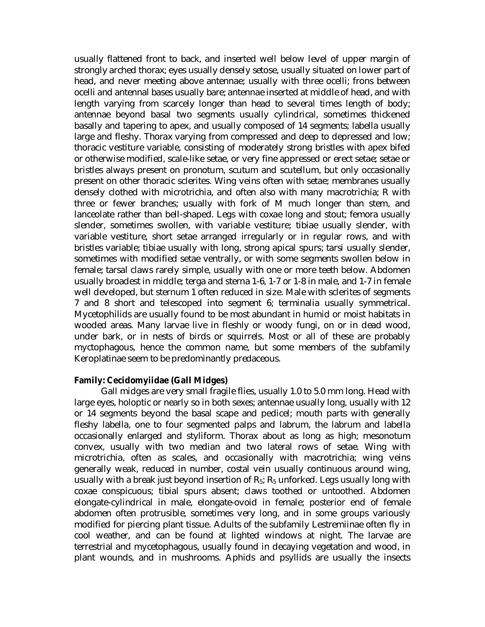usually flattened front to back, and inserted well below level of upper margin of strongly arched thorax; eyes usually densely setose, usually situated on lower part of head, and never meeting above antennae; usually with three ocelli; frons between ocelli and antennal bases usually bare; antennae inserted at middle of head, and with length varying from scarcely longer than head to several times length of body; antennae beyond basal two segments usually cylindrical, sometimes thickened basally and tapering to apex, and usually composed of 14 segments; labella usually large and fleshy. Thorax varying from compressed and deep to depressed and low; thoracic vestiture variable, consisting of moderately strong bristles with apex bifed or otherwise modified, scale-like setae, or very fine appressed or erect setae; setae or bristles always present on pronotum, scutum and scutellum, but only occasionally present on other thoracic sclerites. Wing veins often with setae; membranes usually densely clothed with microtrichia, and often also with many macrotrichia; R with three or fewer branches; usually with fork of M much longer than stem, and lanceolate rather than bell-shaped. Legs with coxae long and stout; femora usually slender, sometimes swollen, with variable vestiture; tibiae usually slender, with variable vestiture, short setae arranged irregularly or in regular rows, and with bristles variable; tibiae usually with long, strong apical spurs; tarsi usually slender, sometimes with modified setae ventrally, or with some segments swollen below in female; tarsal claws rarely simple, usually with one or more teeth below. Abdomen usually broadest in middle; terga and sterna 1-6, 1-7 or 1-8 in male, and 1-7 in female well developed, but sternum 1 often reduced in size. Male with sclerites of segments 7 and 8 short and telescoped into segment 6; terminalia usually symmetrical. Mycetophilids are usually found to be most abundant in humid or moist habitats in wooded areas. Many larvae live in fleshly or woody fungi, on or in dead wood, under bark, or in nests of birds or squirrels. Most or all of these are probably myctophagous, hence the common name, but some members of the subfamily Keroplatinae seem to be predominantly predaceous.

# **Family: Cecidomyiidae (Gall Midges)**

Gall midges are very small fragile flies, usually 1.0 to 5.0 mm long. Head with large eyes, holoptic or nearly so in both sexes; antennae usually long, usually with 12 or 14 segments beyond the basal scape and pedicel; mouth parts with generally fleshy labella, one to four segmented palps and labrum, the labrum and labella occasionally enlarged and styliform. Thorax about as long as high; mesonotum convex, usually with two median and two lateral rows of setae. Wing with microtrichia, often as scales, and occasionally with macrotrichia; wing veins generally weak, reduced in number, costal vein usually continuous around wing, usually with a break just beyond insertion of  $R_5$ ;  $R_5$  unforked. Legs usually long with coxae conspicuous; tibial spurs absent; claws toothed or untoothed. Abdomen elongate-cylindrical in male, elongate-ovoid in female; posterior end of female abdomen often protrusible, sometimes very long, and in some groups variously modified for piercing plant tissue. Adults of the subfamily Lestremiinae often fly in cool weather, and can be found at lighted windows at night. The larvae are terrestrial and mycetophagous, usually found in decaying vegetation and wood, in plant wounds, and in mushrooms. Aphids and psyllids are usually the insects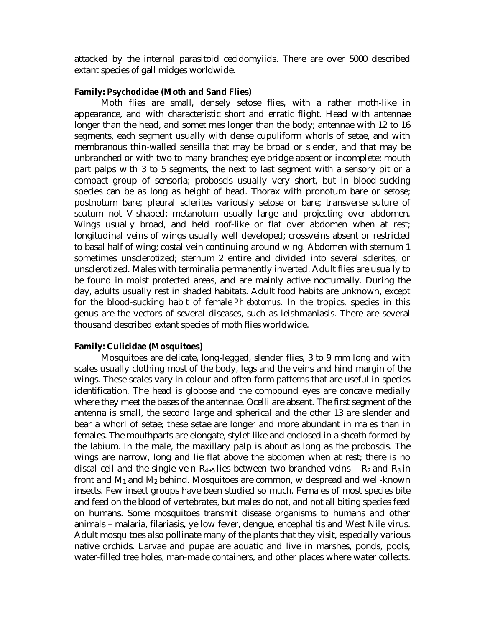attacked by the internal parasitoid cecidomyiids. There are over 5000 described extant species of gall midges worldwide.

# **Family: Psychodidae (Moth and Sand Flies)**

Moth flies are small, densely setose flies, with a rather moth-like in appearance, and with characteristic short and erratic flight. Head with antennae longer than the head, and sometimes longer than the body; antennae with 12 to 16 segments, each segment usually with dense cupuliform whorls of setae, and with membranous thin-walled sensilla that may be broad or slender, and that may be unbranched or with two to many branches; eye bridge absent or incomplete; mouth part palps with 3 to 5 segments, the next to last segment with a sensory pit or a compact group of sensoria; proboscis usually very short, but in blood-sucking species can be as long as height of head. Thorax with pronotum bare or setose; postnotum bare; pleural sclerites variously setose or bare; transverse suture of scutum not V-shaped; metanotum usually large and projecting over abdomen. Wings usually broad, and held roof-like or flat over abdomen when at rest; longitudinal veins of wings usually well developed; crossveins absent or restricted to basal half of wing; costal vein continuing around wing. Abdomen with sternum 1 sometimes unsclerotized; sternum 2 entire and divided into several sclerites, or unsclerotized. Males with terminalia permanently inverted. Adult flies are usually to be found in moist protected areas, and are mainly active nocturnally. During the day, adults usually rest in shaded habitats. Adult food habits are unknown, except for the blood-sucking habit of female *Phlebotomus*. In the tropics, species in this genus are the vectors of several diseases, such as leishmaniasis. There are several thousand described extant species of moth flies worldwide.

# **Family: Culicidae (Mosquitoes)**

Mosquitoes are delicate, long-legged, slender flies, 3 to 9 mm long and with scales usually clothing most of the body, legs and the veins and hind margin of the wings. These scales vary in colour and often form patterns that are useful in species identification. The head is globose and the compound eyes are concave medially where they meet the bases of the antennae. Ocelli are absent. The first segment of the antenna is small, the second large and spherical and the other 13 are slender and bear a whorl of setae; these setae are longer and more abundant in males than in females. The mouthparts are elongate, stylet-like and enclosed in a sheath formed by the labium. In the male, the maxillary palp is about as long as the proboscis. The wings are narrow, long and lie flat above the abdomen when at rest; there is no discal cell and the single vein  $R_{4+5}$  lies between two branched veins –  $R_2$  and  $R_3$  in front and  $M_1$  and  $M_2$  behind. Mosquitoes are common, widespread and well-known insects. Few insect groups have been studied so much. Females of most species bite and feed on the blood of vertebrates, but males do not, and not all biting species feed on humans. Some mosquitoes transmit disease organisms to humans and other animals – malaria, filariasis, yellow fever, dengue, encephalitis and West Nile virus. Adult mosquitoes also pollinate many of the plants that they visit, especially various native orchids. Larvae and pupae are aquatic and live in marshes, ponds, pools, water-filled tree holes, man-made containers, and other places where water collects.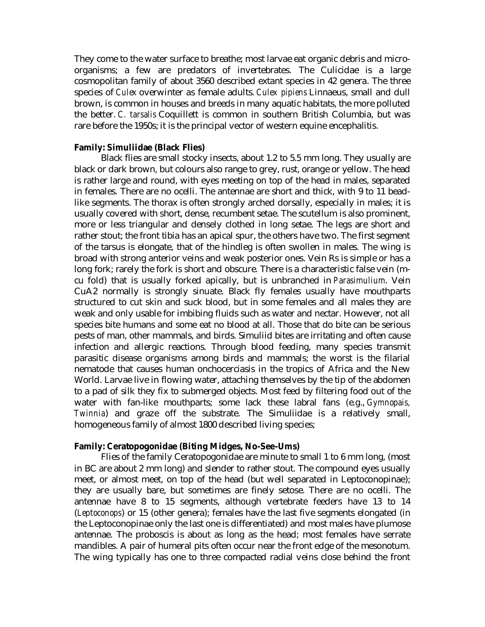They come to the water surface to breathe; most larvae eat organic debris and microorganisms; a few are predators of invertebrates. The Culicidae is a large cosmopolitan family of about 3560 described extant species in 42 genera. The three species of *Culex* overwinter as female adults. *Culex pipiens* Linnaeus, small and dull brown, is common in houses and breeds in many aquatic habitats, the more polluted the better. *C. tarsalis* Coquillett is common in southern British Columbia, but was rare before the 1950s; it is the principal vector of western equine encephalitis.

# **Family: Simuliidae (Black Flies)**

Black flies are small stocky insects, about 1.2 to 5.5 mm long. They usually are black or dark brown, but colours also range to grey, rust, orange or yellow. The head is rather large and round, with eyes meeting on top of the head in males, separated in females. There are no ocelli. The antennae are short and thick, with 9 to 11 beadlike segments. The thorax is often strongly arched dorsally, especially in males; it is usually covered with short, dense, recumbent setae. The scutellum is also prominent, more or less triangular and densely clothed in long setae. The legs are short and rather stout; the front tibia has an apical spur, the others have two. The first segment of the tarsus is elongate, that of the hindleg is often swollen in males. The wing is broad with strong anterior veins and weak posterior ones. Vein Rs is simple or has a long fork; rarely the fork is short and obscure. There is a characteristic false vein (mcu fold) that is usually forked apically, but is unbranched in *Parasimulium*. Vein CuA2 normally is strongly sinuate. Black fly females usually have mouthparts structured to cut skin and suck blood, but in some females and all males they are weak and only usable for imbibing fluids such as water and nectar. However, not all species bite humans and some eat no blood at all. Those that do bite can be serious pests of man, other mammals, and birds. Simuliid bites are irritating and often cause infection and allergic reactions. Through blood feeding, many species transmit parasitic disease organisms among birds and mammals; the worst is the filarial nematode that causes human onchocerciasis in the tropics of Africa and the New World. Larvae live in flowing water, attaching themselves by the tip of the abdomen to a pad of silk they fix to submerged objects. Most feed by filtering food out of the water with fan-like mouthparts; some lack these labral fans (e.g., *Gymnopais, Twinnia*) and graze off the substrate. The Simuliidae is a relatively small, homogeneous family of almost 1800 described living species;

# **Family: Ceratopogonidae (Biting Midges, No-See-Ums)**

Flies of the family Ceratopogonidae are minute to small 1 to 6 mm long, (most in BC are about 2 mm long) and slender to rather stout. The compound eyes usually meet, or almost meet, on top of the head (but well separated in Leptoconopinae); they are usually bare, but sometimes are finely setose. There are no ocelli. The antennae have 8 to 15 segments, although vertebrate feeders have 13 to 14 (*Leptoconops*) or 15 (other genera); females have the last five segments elongated (in the Leptoconopinae only the last one is differentiated) and most males have plumose antennae. The proboscis is about as long as the head; most females have serrate mandibles. A pair of humeral pits often occur near the front edge of the mesonotum. The wing typically has one to three compacted radial veins close behind the front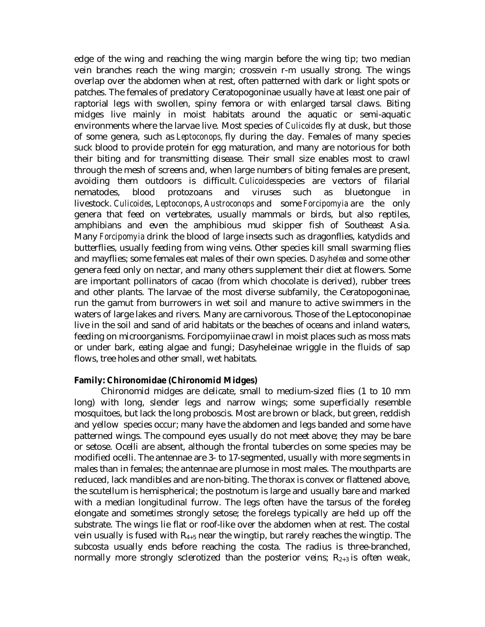edge of the wing and reaching the wing margin before the wing tip; two median vein branches reach the wing margin; crossvein r-m usually strong. The wings overlap over the abdomen when at rest, often patterned with dark or light spots or patches. The females of predatory Ceratopogoninae usually have at least one pair of raptorial legs with swollen, spiny femora or with enlarged tarsal claws. Biting midges live mainly in moist habitats around the aquatic or semi-aquatic environments where the larvae live. Most species of *Culicoides* fly at dusk, but those of some genera, such as *Leptoconops,* fly during the day. Females of many species suck blood to provide protein for egg maturation, and many are notorious for both their biting and for transmitting disease. Their small size enables most to crawl through the mesh of screens and, when large numbers of biting females are present, avoiding them outdoors is difficult. *Culicoides*species are vectors of filarial nematodes, blood protozoans and viruses such as bluetongue in livestock. *Culicoides*, *Leptoconops*, *Austroconops* and some *Forcipomyia* are the only genera that feed on vertebrates, usually mammals or birds, but also reptiles, amphibians and even the amphibious mud skipper fish of Southeast Asia. Many *Forcipomyia* drink the blood of large insects such as dragonflies, katydids and butterflies, usually feeding from wing veins. Other species kill small swarming flies and mayflies; some females eat males of their own species. *Dasyhelea* and some other genera feed only on nectar, and many others supplement their diet at flowers. Some are important pollinators of cacao (from which chocolate is derived), rubber trees and other plants. The larvae of the most diverse subfamily, the Ceratopogoninae, run the gamut from burrowers in wet soil and manure to active swimmers in the waters of large lakes and rivers. Many are carnivorous. Those of the Leptoconopinae live in the soil and sand of arid habitats or the beaches of oceans and inland waters, feeding on microorganisms. Forcipomyiinae crawl in moist places such as moss mats or under bark, eating algae and fungi; Dasyheleinae wriggle in the fluids of sap flows, tree holes and other small, wet habitats.

### **Family: Chironomidae (Chironomid Midges)**

Chironomid midges are delicate, small to medium-sized flies (1 to 10 mm long) with long, slender legs and narrow wings; some superficially resemble mosquitoes, but lack the long proboscis. Most are brown or black, but green, reddish and yellow species occur; many have the abdomen and legs banded and some have patterned wings. The compound eyes usually do not meet above; they may be bare or setose. Ocelli are absent, although the frontal tubercles on some species may be modified ocelli. The antennae are 3- to 17-segmented, usually with more segments in males than in females; the antennae are plumose in most males. The mouthparts are reduced, lack mandibles and are non-biting. The thorax is convex or flattened above, the scutellum is hemispherical; the postnotum is large and usually bare and marked with a median longitudinal furrow. The legs often have the tarsus of the foreleg elongate and sometimes strongly setose; the forelegs typically are held up off the substrate. The wings lie flat or roof-like over the abdomen when at rest. The costal vein usually is fused with  $R_{4+5}$  near the wingtip, but rarely reaches the wingtip. The subcosta usually ends before reaching the costa. The radius is three-branched, normally more strongly sclerotized than the posterior veins;  $R_{2+3}$  is often weak,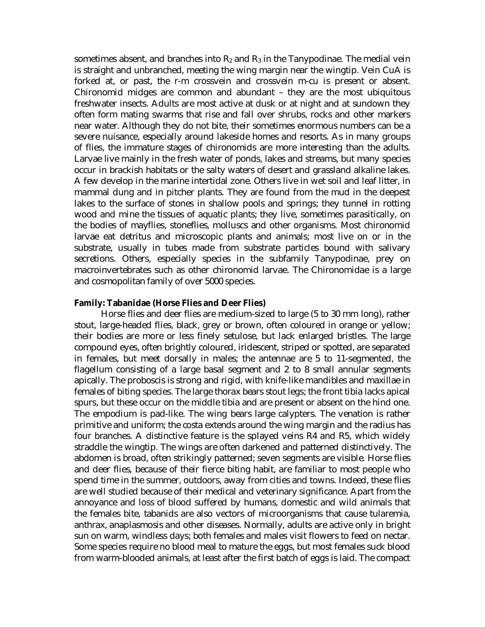sometimes absent, and branches into  $R_2$  and  $R_3$  in the Tanypodinae. The medial vein is straight and unbranched, meeting the wing margin near the wingtip. Vein CuA is forked at, or past, the r-m crossvein and crossvein m-cu is present or absent. Chironomid midges are common and abundant – they are the most ubiquitous freshwater insects. Adults are most active at dusk or at night and at sundown they often form mating swarms that rise and fall over shrubs, rocks and other markers near water. Although they do not bite, their sometimes enormous numbers can be a severe nuisance, especially around lakeside homes and resorts. As in many groups of flies, the immature stages of chironomids are more interesting than the adults. Larvae live mainly in the fresh water of ponds, lakes and streams, but many species occur in brackish habitats or the salty waters of desert and grassland alkaline lakes. A few develop in the marine intertidal zone. Others live in wet soil and leaf litter, in mammal dung and in pitcher plants. They are found from the mud in the deepest lakes to the surface of stones in shallow pools and springs; they tunnel in rotting wood and mine the tissues of aquatic plants; they live, sometimes parasitically, on the bodies of mayflies, stoneflies, molluscs and other organisms. Most chironomid larvae eat detritus and microscopic plants and animals; most live on or in the substrate, usually in tubes made from substrate particles bound with salivary secretions. Others, especially species in the subfamily Tanypodinae, prey on macroinvertebrates such as other chironomid larvae. The Chironomidae is a large and cosmopolitan family of over 5000 species.

#### **Family: Tabanidae (Horse Flies and Deer Flies)**

Horse flies and deer flies are medium-sized to large (5 to 30 mm long), rather stout, large-headed flies, black, grey or brown, often coloured in orange or yellow; their bodies are more or less finely setulose, but lack enlarged bristles. The large compound eyes, often brightly coloured, iridescent, striped or spotted, are separated in females, but meet dorsally in males; the antennae are 5 to 11-segmented, the flagellum consisting of a large basal segment and 2 to 8 small annular segments apically. The proboscis is strong and rigid, with knife-like mandibles and maxillae in females of biting species. The large thorax bears stout legs; the front tibia lacks apical spurs, but these occur on the middle tibia and are present or absent on the hind one. The empodium is pad-like. The wing bears large calypters. The venation is rather primitive and uniform; the costa extends around the wing margin and the radius has four branches. A distinctive feature is the splayed veins R4 and R5, which widely straddle the wingtip. The wings are often darkened and patterned distinctively. The abdomen is broad, often strikingly patterned; seven segments are visible. Horse flies and deer flies, because of their fierce biting habit, are familiar to most people who spend time in the summer, outdoors, away from cities and towns. Indeed, these flies are well studied because of their medical and veterinary significance. Apart from the annoyance and loss of blood suffered by humans, domestic and wild animals that the females bite, tabanids are also vectors of microorganisms that cause tularemia, anthrax, anaplasmosis and other diseases. Normally, adults are active only in bright sun on warm, windless days; both females and males visit flowers to feed on nectar. Some species require no blood meal to mature the eggs, but most females suck blood from warm-blooded animals, at least after the first batch of eggs is laid. The compact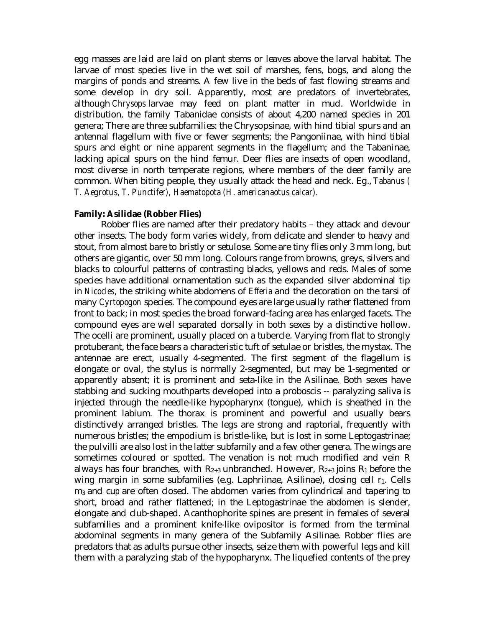egg masses are laid are laid on plant stems or leaves above the larval habitat. The larvae of most species live in the wet soil of marshes, fens, bogs, and along the margins of ponds and streams. A few live in the beds of fast flowing streams and some develop in dry soil. Apparently, most are predators of invertebrates, although *Chrysops* larvae may feed on plant matter in mud. Worldwide in distribution, the family Tabanidae consists of about 4,200 named species in 201 genera; There are three subfamilies: the Chrysopsinae, with hind tibial spurs and an antennal flagellum with five or fewer segments; the Pangoniinae, with hind tibial spurs and eight or nine apparent segments in the flagellum; and the Tabaninae, lacking apical spurs on the hind femur. Deer flies are insects of open woodland, most diverse in north temperate regions, where members of the deer family are common. When biting people, they usually attack the head and neck. Eg., *Tabanus ( T. Aegrotus, T. Punctifer), Haematopota (H. americanaotus calcar).*

#### **Family: Asilidae (Robber Flies)**

Robber flies are named after their predatory habits – they attack and devour other insects. The body form varies widely, from delicate and slender to heavy and stout, from almost bare to bristly or setulose. Some are tiny flies only 3 mm long, but others are gigantic, over 50 mm long. Colours range from browns, greys, silvers and blacks to colourful patterns of contrasting blacks, yellows and reds. Males of some species have additional ornamentation such as the expanded silver abdominal tip in *Nicocles*, the striking white abdomens of *Efferia* and the decoration on the tarsi of many *Cyrtopogon* species. The compound eyes are large usually rather flattened from front to back; in most species the broad forward-facing area has enlarged facets. The compound eyes are well separated dorsally in both sexes by a distinctive hollow. The ocelli are prominent, usually placed on a tubercle. Varying from flat to strongly protuberant, the face bears a characteristic tuft of setulae or bristles, the mystax. The antennae are erect, usually 4-segmented. The first segment of the flagellum is elongate or oval, the stylus is normally 2-segmented, but may be 1-segmented or apparently absent; it is prominent and seta-like in the Asilinae. Both sexes have stabbing and sucking mouthparts developed into a proboscis -- paralyzing saliva is injected through the needle-like hypopharynx (tongue), which is sheathed in the prominent labium. The thorax is prominent and powerful and usually bears distinctively arranged bristles. The legs are strong and raptorial, frequently with numerous bristles; the empodium is bristle-like, but is lost in some Leptogastrinae; the pulvilli are also lost in the latter subfamily and a few other genera. The wings are sometimes coloured or spotted. The venation is not much modified and vein R always has four branches, with  $R_{2+3}$  unbranched. However,  $R_{2+3}$  joins  $R_1$  before the wing margin in some subfamilies (e.g. Laphriinae, Asilinae), closing cell r<sub>1</sub>. Cells m<sup>3</sup> and cu*p* are often closed. The abdomen varies from cylindrical and tapering to short, broad and rather flattened; in the Leptogastrinae the abdomen is slender, elongate and club-shaped. Acanthophorite spines are present in females of several subfamilies and a prominent knife-like ovipositor is formed from the terminal abdominal segments in many genera of the Subfamily Asilinae. Robber flies are predators that as adults pursue other insects, seize them with powerful legs and kill them with a paralyzing stab of the hypopharynx. The liquefied contents of the prey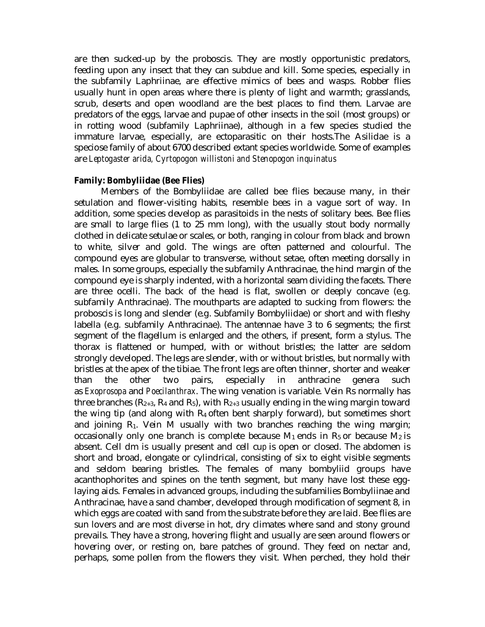are then sucked-up by the proboscis. They are mostly opportunistic predators, feeding upon any insect that they can subdue and kill. Some species, especially in the subfamily Laphriinae, are effective mimics of bees and wasps. Robber flies usually hunt in open areas where there is plenty of light and warmth; grasslands, scrub, deserts and open woodland are the best places to find them. Larvae are predators of the eggs, larvae and pupae of other insects in the soil (most groups) or in rotting wood (subfamily Laphriinae), although in a few species studied the immature larvae, especially, are ectoparasitic on their hosts.The Asilidae is a speciose family of about 6700 described extant species worldwide. Some of examples are *Leptogaster arida, Cyrtopogon willistoni and Stenopogon inquinatus*

#### **Family: Bombyliidae (Bee Flies)**

Members of the Bombyliidae are called bee flies because many, in their setulation and flower-visiting habits, resemble bees in a vague sort of way. In addition, some species develop as parasitoids in the nests of solitary bees. Bee flies are small to large flies (1 to 25 mm long), with the usually stout body normally clothed in delicate setulae or scales, or both, ranging in colour from black and brown to white, silver and gold. The wings are often patterned and colourful. The compound eyes are globular to transverse, without setae, often meeting dorsally in males. In some groups, especially the subfamily Anthracinae, the hind margin of the compound eye is sharply indented, with a horizontal seam dividing the facets. There are three ocelli. The back of the head is flat, swollen or deeply concave (e.g. subfamily Anthracinae). The mouthparts are adapted to sucking from flowers: the proboscis is long and slender (e.g. Subfamily Bombyliidae) or short and with fleshy labella (e.g. subfamily Anthracinae). The antennae have 3 to 6 segments; the first segment of the flagellum is enlarged and the others, if present, form a stylus. The thorax is flattened or humped, with or without bristles; the latter are seldom strongly developed. The legs are slender, with or without bristles, but normally with bristles at the apex of the tibiae. The front legs are often thinner, shorter and weaker than the other two pairs, especially in anthracine genera such as *Exoprosopa* and *Poecilanthrax*. The wing venation is variable. Vein Rs normally has three branches  $(R_{2+3}, R_4$  and  $R_5)$ , with  $R_{2+3}$  usually ending in the wing margin toward the wing tip (and along with  $R_4$  often bent sharply forward), but sometimes short and joining  $R_1$ . Vein M usually with two branches reaching the wing margin; occasionally only one branch is complete because  $M_1$  ends in  $R_5$  or because  $M_2$  is absent. Cell dm is usually present and cell cu*p* is open or closed. The abdomen is short and broad, elongate or cylindrical, consisting of six to eight visible segments and seldom bearing bristles. The females of many bombyliid groups have acanthophorites and spines on the tenth segment, but many have lost these egglaying aids. Females in advanced groups, including the subfamilies Bombyliinae and Anthracinae, have a sand chamber, developed through modification of segment 8, in which eggs are coated with sand from the substrate before they are laid. Bee flies are sun lovers and are most diverse in hot, dry climates where sand and stony ground prevails. They have a strong, hovering flight and usually are seen around flowers or hovering over, or resting on, bare patches of ground. They feed on nectar and, perhaps, some pollen from the flowers they visit. When perched, they hold their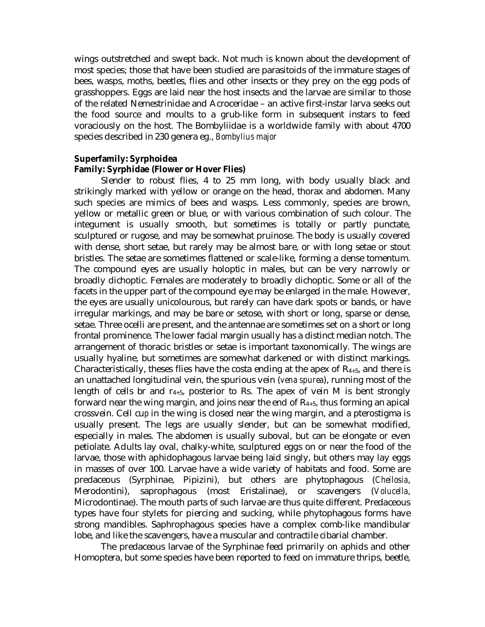wings outstretched and swept back. Not much is known about the development of most species; those that have been studied are parasitoids of the immature stages of bees, wasps, moths, beetles, flies and other insects or they prey on the egg pods of grasshoppers. Eggs are laid near the host insects and the larvae are similar to those of the related Nemestrinidae and Acroceridae – an active first-instar larva seeks out the food source and moults to a grub-like form in subsequent instars to feed voraciously on the host. The Bombyliidae is a worldwide family with about 4700 species described in 230 genera eg., *Bombylius major*

#### **Superfamily: Syrphoidea Family: Syrphidae (Flower or Hover Flies)**

Slender to robust flies, 4 to 25 mm long, with body usually black and strikingly marked with yellow or orange on the head, thorax and abdomen. Many such species are mimics of bees and wasps. Less commonly, species are brown, yellow or metallic green or blue, or with various combination of such colour. The integument is usually smooth, but sometimes is totally or partly punctate, sculptured or rugose, and may be somewhat pruinose. The body is usually covered with dense, short setae, but rarely may be almost bare, or with long setae or stout bristles. The setae are sometimes flattened or scale-like, forming a dense tomentum. The compound eyes are usually holoptic in males, but can be very narrowly or broadly dichoptic. Females are moderately to broadly dichoptic. Some or all of the facets in the upper part of the compound eye may be enlarged in the male. However, the eyes are usually unicolourous, but rarely can have dark spots or bands, or have irregular markings, and may be bare or setose, with short or long, sparse or dense, setae. Three ocelli are present, and the antennae are sometimes set on a short or long frontal prominence. The lower facial margin usually has a distinct median notch. The arrangement of thoracic bristles or setae is important taxonomically. The wings are usually hyaline, but sometimes are somewhat darkened or with distinct markings. Characteristically, theses flies have the costa ending at the apex of  $R_{4+5}$ , and there is an unattached longitudinal vein, the spurious vein (*vena spurea*), running most of the length of cells br and  $r_{4+5}$ , posterior to Rs. The apex of vein M is bent strongly forward near the wing margin, and joins near the end of  $R_{4+5}$ , thus forming an apical crossvein. Cell cu*p* in the wing is closed near the wing margin, and a pterostigma is usually present. The legs are usually slender, but can be somewhat modified, especially in males. The abdomen is usually suboval, but can be elongate or even petiolate. Adults lay oval, chalky-white, sculptured eggs on or near the food of the larvae, those with aphidophagous larvae being laid singly, but others may lay eggs in masses of over 100. Larvae have a wide variety of habitats and food. Some are predaceous (Syrphinae, Pipizini), but others are phytophagous (*Cheilosia*, Merodontini), saprophagous (most Eristalinae), or scavengers (*Volucella*, Microdontinae). The mouth parts of such larvae are thus quite different. Predaceous types have four stylets for piercing and sucking, while phytophagous forms have strong mandibles. Saphrophagous species have a complex comb-like mandibular lobe, and like the scavengers, have a muscular and contractile cibarial chamber.

The predaceous larvae of the Syrphinae feed primarily on aphids and other Homoptera, but some species have been reported to feed on immature thrips, beetle,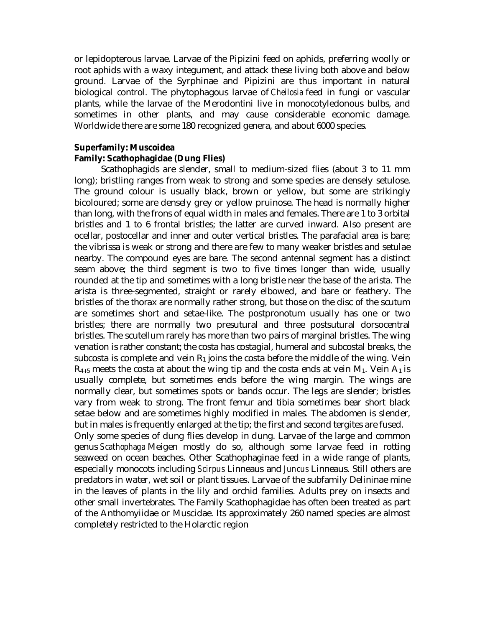or lepidopterous larvae. Larvae of the Pipizini feed on aphids, preferring woolly or root aphids with a waxy integument, and attack these living both above and below ground. Larvae of the Syrphinae and Pipizini are thus important in natural biological control. The phytophagous larvae of *Cheilosia* feed in fungi or vascular plants, while the larvae of the Merodontini live in monocotyledonous bulbs, and sometimes in other plants, and may cause considerable economic damage. Worldwide there are some 180 recognized genera, and about 6000 species.

### **Superfamily: Muscoidea Family: Scathophagidae (Dung Flies)**

Scathophagids are slender, small to medium-sized flies (about 3 to 11 mm long); bristling ranges from weak to strong and some species are densely setulose. The ground colour is usually black, brown or yellow, but some are strikingly bicoloured; some are densely grey or yellow pruinose. The head is normally higher than long, with the frons of equal width in males and females. There are 1 to 3 orbital bristles and 1 to 6 frontal bristles; the latter are curved inward. Also present are ocellar, postocellar and inner and outer vertical bristles. The parafacial area is bare; the vibrissa is weak or strong and there are few to many weaker bristles and setulae nearby. The compound eyes are bare. The second antennal segment has a distinct seam above; the third segment is two to five times longer than wide, usually rounded at the tip and sometimes with a long bristle near the base of the arista. The arista is three-segmented, straight or rarely elbowed, and bare or feathery. The bristles of the thorax are normally rather strong, but those on the disc of the scutum are sometimes short and setae-like. The postpronotum usually has one or two bristles; there are normally two presutural and three postsutural dorsocentral bristles. The scutellum rarely has more than two pairs of marginal bristles. The wing venation is rather constant; the costa has costagial, humeral and subcostal breaks, the subcosta is complete and vein  $R_1$  joins the costa before the middle of the wing. Vein  $R_{4+5}$  meets the costa at about the wing tip and the costa ends at vein  $M_1$ . Vein  $A_1$  is usually complete, but sometimes ends before the wing margin. The wings are normally clear, but sometimes spots or bands occur. The legs are slender; bristles vary from weak to strong. The front femur and tibia sometimes bear short black setae below and are sometimes highly modified in males. The abdomen is slender, but in males is frequently enlarged at the tip; the first and second tergites are fused. Only some species of dung flies develop in dung. Larvae of the large and common

genus *Scathophaga* Meigen mostly do so, although some larvae feed in rotting seaweed on ocean beaches. Other Scathophaginae feed in a wide range of plants, especially monocots including *Scirpus* Linneaus and *Juncus* Linneaus. Still others are predators in water, wet soil or plant tissues. Larvae of the subfamily Delininae mine in the leaves of plants in the lily and orchid families. Adults prey on insects and other small invertebrates. The Family Scathophagidae has often been treated as part of the Anthomyiidae or Muscidae. Its approximately 260 named species are almost completely restricted to the Holarctic region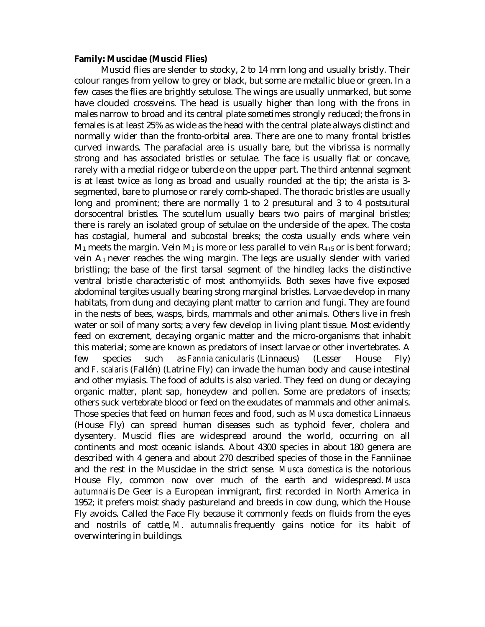#### **Family: Muscidae (Muscid Flies)**

Muscid flies are slender to stocky, 2 to 14 mm long and usually bristly. Their colour ranges from yellow to grey or black, but some are metallic blue or green. In a few cases the flies are brightly setulose. The wings are usually unmarked, but some have clouded crossveins. The head is usually higher than long with the frons in males narrow to broad and its central plate sometimes strongly reduced; the frons in females is at least 25% as wide as the head with the central plate always distinct and normally wider than the fronto-orbital area. There are one to many frontal bristles curved inwards. The parafacial area is usually bare, but the vibrissa is normally strong and has associated bristles or setulae. The face is usually flat or concave, rarely with a medial ridge or tubercle on the upper part. The third antennal segment is at least twice as long as broad and usually rounded at the tip; the arista is 3 segmented, bare to plumose or rarely comb-shaped. The thoracic bristles are usually long and prominent; there are normally 1 to 2 presutural and 3 to 4 postsutural dorsocentral bristles. The scutellum usually bears two pairs of marginal bristles; there is rarely an isolated group of setulae on the underside of the apex. The costa has costagial, humeral and subcostal breaks; the costa usually ends where vein  $M_1$  meets the margin. Vein  $M_1$  is more or less parallel to vein  $R_{4+5}$  or is bent forward; vein  $A_1$  never reaches the wing margin. The legs are usually slender with varied bristling; the base of the first tarsal segment of the hindleg lacks the distinctive ventral bristle characteristic of most anthomyiids. Both sexes have five exposed abdominal tergites usually bearing strong marginal bristles. Larvae develop in many habitats, from dung and decaying plant matter to carrion and fungi. They are found in the nests of bees, wasps, birds, mammals and other animals. Others live in fresh water or soil of many sorts; a very few develop in living plant tissue. Most evidently feed on excrement, decaying organic matter and the micro-organisms that inhabit this material; some are known as predators of insect larvae or other invertebrates. A few species such as *Fannia canicularis* (Linnaeus) (Lesser House Fly) and *F. scalaris* (Fallén) (Latrine Fly) can invade the human body and cause intestinal and other myiasis. The food of adults is also varied. They feed on dung or decaying organic matter, plant sap, honeydew and pollen. Some are predators of insects; others suck vertebrate blood or feed on the exudates of mammals and other animals. Those species that feed on human feces and food, such as *Musca domestica* Linnaeus (House Fly) can spread human diseases such as typhoid fever, cholera and dysentery. Muscid flies are widespread around the world, occurring on all continents and most oceanic islands. About 4300 species in about 180 genera are described with 4 genera and about 270 described species of those in the Fanniinae and the rest in the Muscidae in the strict sense. *Musca domestica* is the notorious House Fly, common now over much of the earth and widespread. *Musca autumnalis* De Geer is a European immigrant, first recorded in North America in 1952; it prefers moist shady pastureland and breeds in cow dung, which the House Fly avoids. Called the Face Fly because it commonly feeds on fluids from the eyes and nostrils of cattle, *M. autumnalis* frequently gains notice for its habit of overwintering in buildings.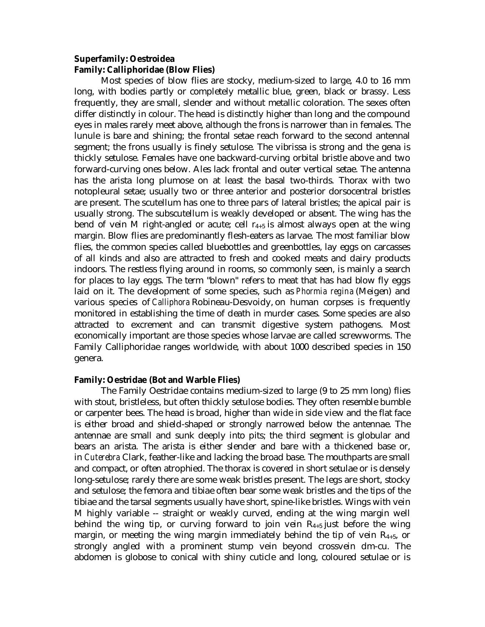# **Superfamily: Oestroidea Family: Calliphoridae (Blow Flies)**

Most species of blow flies are stocky, medium-sized to large, 4.0 to 16 mm long, with bodies partly or completely metallic blue, green, black or brassy. Less frequently, they are small, slender and without metallic coloration. The sexes often differ distinctly in colour. The head is distinctly higher than long and the compound eyes in males rarely meet above, although the frons is narrower than in females. The lunule is bare and shining; the frontal setae reach forward to the second antennal segment; the frons usually is finely setulose. The vibrissa is strong and the gena is thickly setulose. Females have one backward-curving orbital bristle above and two forward-curving ones below. Ales lack frontal and outer vertical setae. The antenna has the arista long plumose on at least the basal two-thirds. Thorax with two notopleural setae; usually two or three anterior and posterior dorsocentral bristles are present. The scutellum has one to three pars of lateral bristles; the apical pair is usually strong. The subscutellum is weakly developed or absent. The wing has the bend of vein M right-angled or acute; cell  $r_{4+5}$  is almost always open at the wing margin. Blow flies are predominantly flesh-eaters as larvae. The most familiar blow flies, the common species called bluebottles and greenbottles, lay eggs on carcasses of all kinds and also are attracted to fresh and cooked meats and dairy products indoors. The restless flying around in rooms, so commonly seen, is mainly a search for places to lay eggs. The term "blown" refers to meat that has had blow fly eggs laid on it. The development of some species, such as *Phormia regina* (Meigen) and various species of *Calliphora* Robineau-Desvoidy, on human corpses is frequently monitored in establishing the time of death in murder cases. Some species are also attracted to excrement and can transmit digestive system pathogens. Most economically important are those species whose larvae are called screwworms. The Family Calliphoridae ranges worldwide, with about 1000 described species in 150 genera.

# **Family: Oestridae (Bot and Warble Flies)**

The Family Oestridae contains medium-sized to large (9 to 25 mm long) flies with stout, bristleless, but often thickly setulose bodies. They often resemble bumble or carpenter bees. The head is broad, higher than wide in side view and the flat face is either broad and shield-shaped or strongly narrowed below the antennae. The antennae are small and sunk deeply into pits; the third segment is globular and bears an arista. The arista is either slender and bare with a thickened base or, in *Cuterebra* Clark, feather-like and lacking the broad base. The mouthparts are small and compact, or often atrophied. The thorax is covered in short setulae or is densely long-setulose; rarely there are some weak bristles present. The legs are short, stocky and setulose; the femora and tibiae often bear some weak bristles and the tips of the tibiae and the tarsal segments usually have short, spine-like bristles. Wings with vein M highly variable -- straight or weakly curved, ending at the wing margin well behind the wing tip, or curving forward to join vein  $R_{4+5}$  just before the wing margin, or meeting the wing margin immediately behind the tip of vein  $R_{4+5}$ , or strongly angled with a prominent stump vein beyond crossvein dm-cu. The abdomen is globose to conical with shiny cuticle and long, coloured setulae or is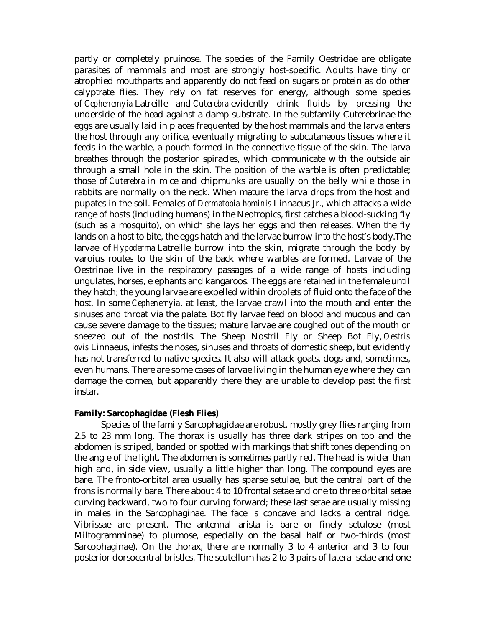partly or completely pruinose. The species of the Family Oestridae are obligate parasites of mammals and most are strongly host-specific. Adults have tiny or atrophied mouthparts and apparently do not feed on sugars or protein as do other calyptrate flies. They rely on fat reserves for energy, although some species of *Cephenemyia* Latreille and *Cuterebra* evidently drink fluids by pressing the underside of the head against a damp substrate. In the subfamily Cuterebrinae the eggs are usually laid in places frequented by the host mammals and the larva enters the host through any orifice, eventually migrating to subcutaneous tissues where it feeds in the warble, a pouch formed in the connective tissue of the skin. The larva breathes through the posterior spiracles, which communicate with the outside air through a small hole in the skin. The position of the warble is often predictable; those of *Cuterebra* in mice and chipmunks are usually on the belly while those in rabbits are normally on the neck. When mature the larva drops from the host and pupates in the soil. Females of *Dermatobia hominis* Linnaeus Jr., which attacks a wide range of hosts (including humans) in the Neotropics, first catches a blood-sucking fly (such as a mosquito), on which she lays her eggs and then releases. When the fly lands on a host to bite, the eggs hatch and the larvae burrow into the host's body.The larvae of *Hypoderma* Latreille burrow into the skin, migrate through the body by varoius routes to the skin of the back where warbles are formed. Larvae of the Oestrinae live in the respiratory passages of a wide range of hosts including ungulates, horses, elephants and kangaroos. The eggs are retained in the female until they hatch; the young larvae are expelled within droplets of fluid onto the face of the host. In some *Cephenemyia*, at least, the larvae crawl into the mouth and enter the sinuses and throat via the palate. Bot fly larvae feed on blood and mucous and can cause severe damage to the tissues; mature larvae are coughed out of the mouth or sneezed out of the nostrils. The Sheep Nostril Fly or Sheep Bot Fly, *Oestris ovis* Linnaeus, infests the noses, sinuses and throats of domestic sheep, but evidently has not transferred to native species. It also will attack goats, dogs and, sometimes, even humans. There are some cases of larvae living in the human eye where they can damage the cornea, but apparently there they are unable to develop past the first instar.

# **Family: Sarcophagidae (Flesh Flies)**

Species of the family Sarcophagidae are robust, mostly grey flies ranging from 2.5 to 23 mm long. The thorax is usually has three dark stripes on top and the abdomen is striped, banded or spotted with markings that shift tones depending on the angle of the light. The abdomen is sometimes partly red. The head is wider than high and, in side view, usually a little higher than long. The compound eyes are bare. The fronto-orbital area usually has sparse setulae, but the central part of the frons is normally bare. There about 4 to 10 frontal setae and one to three orbital setae curving backward, two to four curving forward; these last setae are usually missing in males in the Sarcophaginae. The face is concave and lacks a central ridge. Vibrissae are present. The antennal arista is bare or finely setulose (most Miltogramminae) to plumose, especially on the basal half or two-thirds (most Sarcophaginae). On the thorax, there are normally 3 to 4 anterior and 3 to four posterior dorsocentral bristles. The scutellum has 2 to 3 pairs of lateral setae and one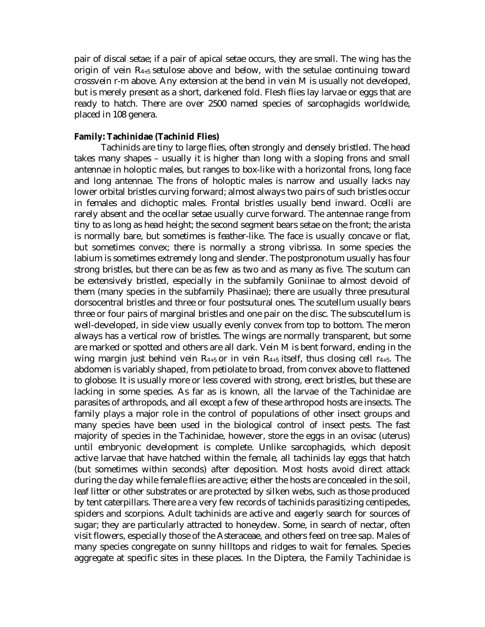pair of discal setae; if a pair of apical setae occurs, they are small. The wing has the origin of vein  $R_{4+5}$  setulose above and below, with the setulae continuing toward crossvein r-m above. Any extension at the bend in vein M is usually not developed, but is merely present as a short, darkened fold. Flesh flies lay larvae or eggs that are ready to hatch. There are over 2500 named species of sarcophagids worldwide, placed in 108 genera.

# **Family: Tachinidae (Tachinid Flies)**

Tachinids are tiny to large flies, often strongly and densely bristled. The head takes many shapes – usually it is higher than long with a sloping frons and small antennae in holoptic males, but ranges to box-like with a horizontal frons, long face and long antennae. The frons of holoptic males is narrow and usually lacks nay lower orbital bristles curving forward; almost always two pairs of such bristles occur in females and dichoptic males. Frontal bristles usually bend inward. Ocelli are rarely absent and the ocellar setae usually curve forward. The antennae range from tiny to as long as head height; the second segment bears setae on the front; the arista is normally bare, but sometimes is feather-like. The face is usually concave or flat, but sometimes convex; there is normally a strong vibrissa. In some species the labium is sometimes extremely long and slender. The postpronotum usually has four strong bristles, but there can be as few as two and as many as five. The scutum can be extensively bristled, especially in the subfamily Goniinae to almost devoid of them (many species in the subfamily Phasiinae); there are usually three presutural dorsocentral bristles and three or four postsutural ones. The scutellum usually bears three or four pairs of marginal bristles and one pair on the disc. The subscutellum is well-developed, in side view usually evenly convex from top to bottom. The meron always has a vertical row of bristles. The wings are normally transparent, but some are marked or spotted and others are all dark. Vein M is bent forward, ending in the wing margin just behind vein  $R_{4+5}$  or in vein  $R_{4+5}$  itself, thus closing cell  $r_{4+5}$ . The abdomen is variably shaped, from petiolate to broad, from convex above to flattened to globose. It is usually more or less covered with strong, erect bristles, but these are lacking in some species. As far as is known, all the larvae of the Tachinidae are parasites of arthropods, and all except a few of these arthropod hosts are insects. The family plays a major role in the control of populations of other insect groups and many species have been used in the biological control of insect pests. The fast majority of species in the Tachinidae, however, store the eggs in an ovisac (uterus) until embryonic development is complete. Unlike sarcophagids, which deposit active larvae that have hatched within the female, all tachinids lay eggs that hatch (but sometimes within seconds) after deposition. Most hosts avoid direct attack during the day while female flies are active; either the hosts are concealed in the soil, leaf litter or other substrates or are protected by silken webs, such as those produced by tent caterpillars. There are a very few records of tachinids parasitizing centipedes, spiders and scorpions. Adult tachinids are active and eagerly search for sources of sugar; they are particularly attracted to honeydew. Some, in search of nectar, often visit flowers, especially those of the Asteraceae, and others feed on tree sap. Males of many species congregate on sunny hilltops and ridges to wait for females. Species aggregate at specific sites in these places. In the Diptera, the Family Tachinidae is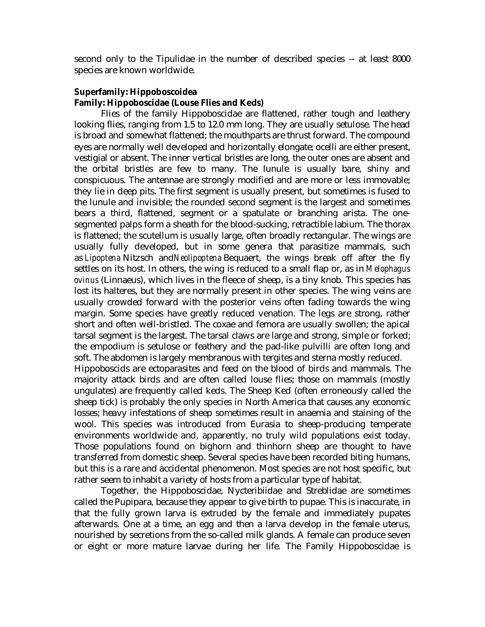second only to the Tipulidae in the number of described species -- at least 8000 species are known worldwide.

# **Superfamily: Hippoboscoidea Family: Hippoboscidae (Louse Flies and Keds)**

Flies of the family Hippoboscidae are flattened, rather tough and leathery looking flies, ranging from 1.5 to 12.0 mm long. They are usually setulose. The head is broad and somewhat flattened; the mouthparts are thrust forward. The compound eyes are normally well developed and horizontally elongate; ocelli are either present, vestigial or absent. The inner vertical bristles are long, the outer ones are absent and the orbital bristles are few to many. The lunule is usually bare, shiny and conspicuous. The antennae are strongly modified and are more or less immovable; they lie in deep pits. The first segment is usually present, but sometimes is fused to the lunule and invisible; the rounded second segment is the largest and sometimes bears a third, flattened, segment or a spatulate or branching arista. The onesegmented palps form a sheath for the blood-sucking, retractible labium. The thorax is flattened; the scutellum is usually large, often broadly rectangular. The wings are usually fully developed, but in some genera that parasitize mammals, such as *Lipoptena* Nitzsch and*Neolipoptena* Bequaert, the wings break off after the fly settles on its host. In others, the wing is reduced to a small flap or, as in *Melophagus ovinus* (Linnaeus), which lives in the fleece of sheep, is a tiny knob. This species has lost its halteres, but they are normally present in other species. The wing veins are usually crowded forward with the posterior veins often fading towards the wing margin. Some species have greatly reduced venation. The legs are strong, rather short and often well-bristled. The coxae and femora are usually swollen; the apical tarsal segment is the largest. The tarsal claws are large and strong, simple or forked; the empodium is setulose or feathery and the pad-like pulvilli are often long and soft. The abdomen is largely membranous with tergites and sterna mostly reduced. Hippoboscids are ectoparasites and feed on the blood of birds and mammals. The majority attack birds and are often called louse flies; those on mammals (mostly ungulates) are frequently called keds. The Sheep Ked (often erroneously called the

sheep tick) is probably the only species in North America that causes any economic losses; heavy infestations of sheep sometimes result in anaemia and staining of the wool. This species was introduced from Eurasia to sheep-producing temperate environments worldwide and, apparently, no truly wild populations exist today. Those populations found on bighorn and thinhorn sheep are thought to have transferred from domestic sheep. Several species have been recorded biting humans, but this is a rare and accidental phenomenon. Most species are not host specific, but rather seem to inhabit a variety of hosts from a particular type of habitat.

Together, the Hippoboscidae, Nycteribiidae and Streblidae are sometimes called the Pupipara, because they appear to give birth to pupae. This is inaccurate, in that the fully grown larva is extruded by the female and immediately pupates afterwards. One at a time, an egg and then a larva develop in the female uterus, nourished by secretions from the so-called milk glands. A female can produce seven or eight or more mature larvae during her life. The Family Hippoboscidae is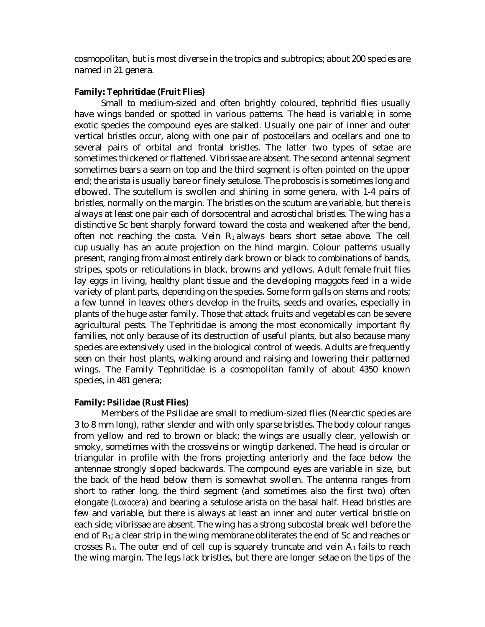cosmopolitan, but is most diverse in the tropics and subtropics; about 200 species are named in 21 genera.

# **Family: Tephritidae (Fruit Flies)**

Small to medium-sized and often brightly coloured, tephritid flies usually have wings banded or spotted in various patterns. The head is variable; in some exotic species the compound eyes are stalked. Usually one pair of inner and outer vertical bristles occur, along with one pair of postocellars and ocellars and one to several pairs of orbital and frontal bristles. The latter two types of setae are sometimes thickened or flattened. Vibrissae are absent. The second antennal segment sometimes bears a seam on top and the third segment is often pointed on the upper end; the arista is usually bare or finely setulose. The proboscis is sometimes long and elbowed. The scutellum is swollen and shining in some genera, with 1-4 pairs of bristles, normally on the margin. The bristles on the scutum are variable, but there is always at least one pair each of dorsocentral and acrostichal bristles. The wing has a distinctive Sc bent sharply forward toward the costa and weakened after the bend, often not reaching the costa. Vein  $R_1$  always bears short setae above. The cell cu*p* usually has an acute projection on the hind margin. Colour patterns usually present, ranging from almost entirely dark brown or black to combinations of bands, stripes, spots or reticulations in black, browns and yellows. Adult female fruit flies lay eggs in living, healthy plant tissue and the developing maggots feed in a wide variety of plant parts, depending on the species. Some form galls on stems and roots; a few tunnel in leaves; others develop in the fruits, seeds and ovaries, especially in plants of the huge aster family. Those that attack fruits and vegetables can be severe agricultural pests. The Tephritidae is among the most economically important fly families, not only because of its destruction of useful plants, but also because many species are extensively used in the biological control of weeds. Adults are frequently seen on their host plants, walking around and raising and lowering their patterned wings. The Family Tephritidae is a cosmopolitan family of about 4350 known species, in 481 genera;

# **Family: Psilidae (Rust Flies)**

Members of the Psilidae are small to medium-sized flies (Nearctic species are 3 to 8 mm long), rather slender and with only sparse bristles. The body colour ranges from yellow and red to brown or black; the wings are usually clear, yellowish or smoky, sometimes with the crossveins or wingtip darkened. The head is circular or triangular in profile with the frons projecting anteriorly and the face below the antennae strongly sloped backwards. The compound eyes are variable in size, but the back of the head below them is somewhat swollen. The antenna ranges from short to rather long, the third segment (and sometimes also the first two) often elongate (*Loxocera*) and bearing a setulose arista on the basal half. Head bristles are few and variable, but there is always at least an inner and outer vertical bristle on each side; vibrissae are absent. The wing has a strong subcostal break well before the end of  $R_1$ ; a clear strip in the wing membrane obliterates the end of Sc and reaches or crosses  $R_1$ . The outer end of cell cup is squarely truncate and vein  $A_1$  fails to reach the wing margin. The legs lack bristles, but there are longer setae on the tips of the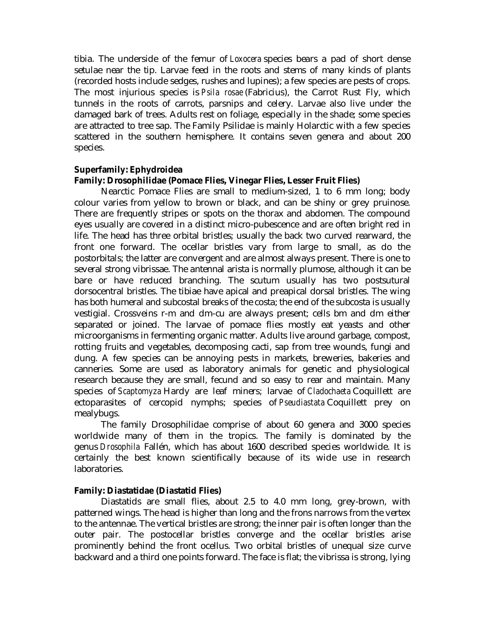tibia. The underside of the femur of *Loxocera* species bears a pad of short dense setulae near the tip. Larvae feed in the roots and stems of many kinds of plants (recorded hosts include sedges, rushes and lupines); a few species are pests of crops. The most injurious species is *Psila rosae* (Fabricius), the Carrot Rust Fly, which tunnels in the roots of carrots, parsnips and celery. Larvae also live under the damaged bark of trees. Adults rest on foliage, especially in the shade; some species are attracted to tree sap. The Family Psilidae is mainly Holarctic with a few species scattered in the southern hemisphere. It contains seven genera and about 200 species.

# **Superfamily: Ephydroidea**

# **Family: Drosophilidae (Pomace Flies, Vinegar Flies, Lesser Fruit Flies)**

Nearctic Pomace Flies are small to medium-sized, 1 to 6 mm long; body colour varies from yellow to brown or black, and can be shiny or grey pruinose. There are frequently stripes or spots on the thorax and abdomen. The compound eyes usually are covered in a distinct micro-pubescence and are often bright red in life. The head has three orbital bristles; usually the back two curved rearward, the front one forward. The ocellar bristles vary from large to small, as do the postorbitals; the latter are convergent and are almost always present. There is one to several strong vibrissae. The antennal arista is normally plumose, although it can be bare or have reduced branching. The scutum usually has two postsutural dorsocentral bristles. The tibiae have apical and preapical dorsal bristles. The wing has both humeral and subcostal breaks of the costa; the end of the subcosta is usually vestigial. Crossveins r-m and dm-cu are always present; cells bm and dm either separated or joined. The larvae of pomace flies mostly eat yeasts and other microorganisms in fermenting organic matter. Adults live around garbage, compost, rotting fruits and vegetables, decomposing cacti, sap from tree wounds, fungi and dung. A few species can be annoying pests in markets, breweries, bakeries and canneries. Some are used as laboratory animals for genetic and physiological research because they are small, fecund and so easy to rear and maintain. Many species of *Scaptomyza* Hardy are leaf miners; larvae of *Cladochaeta* Coquillett are ectoparasites of cercopid nymphs; species of *Pseudiastata* Coquillett prey on mealybugs.

The family Drosophilidae comprise of about 60 genera and 3000 species worldwide many of them in the tropics. The family is dominated by the genus *Drosophila* Fallén, which has about 1600 described species worldwide. It is certainly the best known scientifically because of its wide use in research laboratories.

# **Family: Diastatidae (Diastatid Flies)**

Diastatids are small flies, about 2.5 to 4.0 mm long, grey-brown, with patterned wings. The head is higher than long and the frons narrows from the vertex to the antennae. The vertical bristles are strong; the inner pair is often longer than the outer pair. The postocellar bristles converge and the ocellar bristles arise prominently behind the front ocellus. Two orbital bristles of unequal size curve backward and a third one points forward. The face is flat; the vibrissa is strong, lying